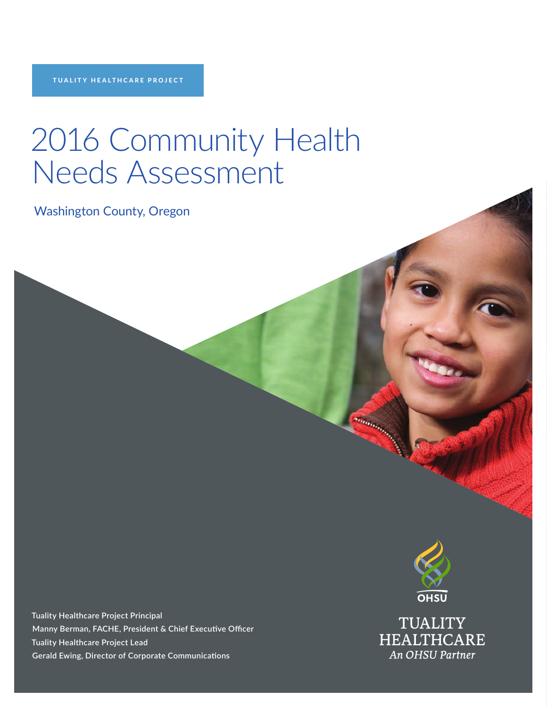# 2016 Community Health Needs Assessment

Washington County, Oregon

**Tuality Healthcare Project Principal Manny Berman, FACHE, President & Chief Executive Officer Tuality Healthcare Project Lead Gerald Ewing, Director of Corporate Communications**



**Thermometers** 

**TUALITY HEALTHCARE** An OHSU Partner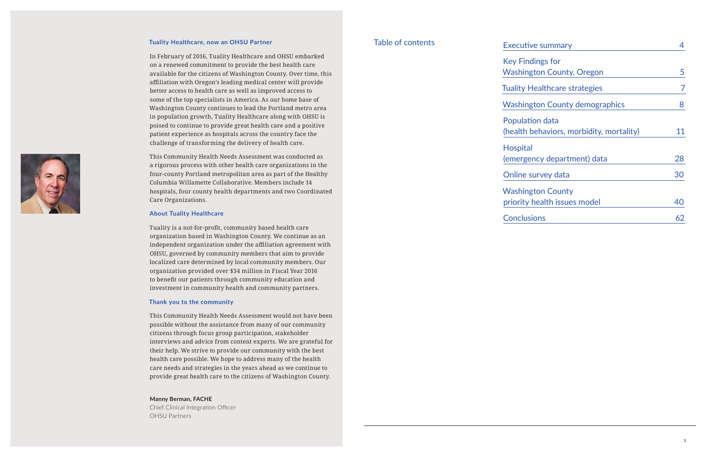#### **Tuality Healthcare, now an OHSU Partner**

In February of 2016, Tuality Healthcare and OHSU embarked on a renewed commitment to provide the best health care available for the citizens of Washington County. Over time, this affiliation with Oregon's leading medical center will provide better access to health care as well as improved access to some of the top specialists in America. As our home base of Washington County continues to lead the Portland metro area in population growth, Tuality Healthcare along with OHSU is poised to continue to provide great health care and a positive patient experience as hospitals across the country face the challenge of transforming the delivery of health care.

This Community Health Needs Assessment was conducted as a rigorous process with other health care organizations in the four-county Portland metropolitan area as part of the Healthy Columbia Willamette Collaborative. Members include 14 hospitals, four county health departments and two Coordinated Care Organizations.

#### **About Tuality Healthcare**

| <b>Executive summary</b>                                    |    |
|-------------------------------------------------------------|----|
| <b>Key Findings for</b>                                     |    |
| <b>Washington County, Oregon</b>                            | 5  |
| Tuality Healthcare strategies                               |    |
| <b>Washington County demographics</b>                       | 8  |
| Population data<br>(health behaviors, morbidity, mortality) | 11 |
| <b>Hospital</b><br>(emergency department) data              | 28 |
| Online survey data                                          | 30 |
| <b>Washington County</b><br>priority health issues model    | 40 |
| <b>Conclusions</b>                                          | 62 |

Tuality is a not-for-profit, community based health care organization based in Washington County. We continue as an independent organization under the affiliation agreement with OHSU, governed by community members that aim to provide localized care determined by local community members. Our organization provided over \$34 million in Fiscal Year 2016 to benefit our patients through community education and investment in community health and community partners.

#### **Thank you to the community**

This Community Health Needs Assessment would not have been possible without the assistance from many of our community citizens through focus group participation, stakeholder interviews and advice from content experts. We are grateful for their help. We strive to provide our community with the best health care possible. We hope to address many of the health care needs and strategies in the years ahead as we continue to provide great health care to the citizens of Washington County.

#### **Manny Berman, FACHE**

Chief Clinical Integration Officer OHSU Partners

### Table of contents

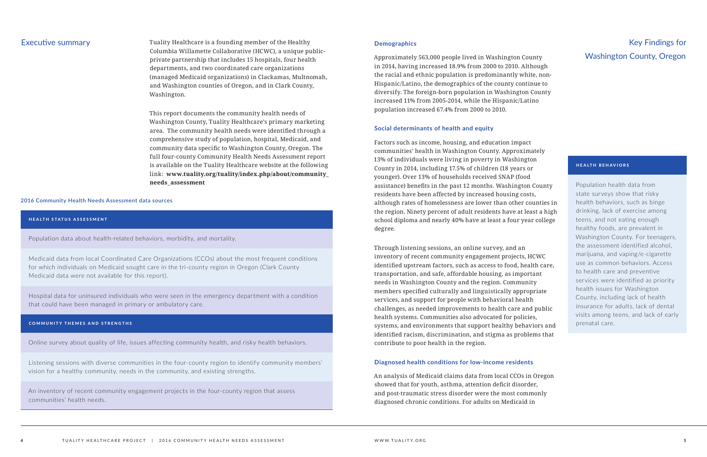Executive summary Tuality Healthcare is a founding member of the Healthy Columbia Willamette Collaborative (HCWC), a unique publicprivate partnership that includes 15 hospitals, four health departments, and two coordinated care organizations (managed Medicaid organizations) in Clackamas, Multnomah, and Washington counties of Oregon, and in Clark County, Washington.

> This report documents the community health needs of Washington County, Tuality Healthcare's primary marketing area. The community health needs were identified through a comprehensive study of population, hospital, Medicaid, and community data specific to Washington County, Oregon. The full four-county Community Health Needs Assessment report is available on the Tuality Healthcare website at the following link: **www.tuality.org/tuality/index.php/about/community\_ needs\_assessment**

#### **Demographics**

Approximately 563,000 people lived in Washington County in 2014, having increased 18.9% from 2000 to 2010. Although the racial and ethnic population is predominantly white, non-Hispanic/Latino, the demographics of the county continue to diversify. The foreign-born population in Washington County increased 11% from 2005-2014, while the Hispanic/Latino population increased 67.4% from 2000 to 2010.

#### **Social determinants of health and equity**

Factors such as income, housing, and education impact communities' health in Washington County. Approximately 13% of individuals were living in poverty in Washington County in 2014, including 17.5% of children (18 years or younger). Over 13% of households received SNAP (food assistance) benefits in the past 12 months. Washington County residents have been affected by increased housing costs, although rates of homelessness are lower than other counties in the region. Ninety percent of adult residents have at least a high school diploma and nearly 40% have at least a four year college degree.

Through listening sessions, an online survey, and an inventory of recent community engagement projects, HCWC identified upstream factors, such as access to food, health care, transportation, and safe, affordable housing, as important needs in Washington County and the region. Community members specified culturally and linguistically appropriate services, and support for people with behavioral health challenges, as needed improvements to health care and public health systems. Communities also advocated for policies, systems, and environments that support healthy behaviors and identified racism, discrimination, and stigma as problems that contribute to poor health in the region.

#### **Diagnosed health conditions for low-income residents**

An analysis of Medicaid claims data from local CCOs in Oregon showed that for youth, asthma, attention deficit disorder, and post-traumatic stress disorder were the most commonly diagnosed chronic conditions. For adults on Medicaid in

#### **2016 Community Health Needs Assessment data sources**

#### HEALTH STATUS ASSESSMENT

Population data about health-related behaviors, morbidity, and mortality.

Medicaid data from local Coordinated Care Organizations (CCOs) about the most frequent conditions for which individuals on Medicaid sought care in the tri-county region in Oregon (Clark County Medicaid data were not available for this report).

Hospital data for uninsured individuals who were seen in the emergency department with a condition that could have been managed in primary or ambulatory care.

#### COMMUNITY THEMES AND STRENGTHS

Online survey about quality of life, issues affecting community health, and risky health behaviors.

Listening sessions with diverse communities in the four-county region to identify community members' vision for a healthy community, needs in the community, and existing strengths.

An inventory of recent community engagement projects in the four-county region that assess communities' health needs.

# Key Findings for Washington County, Oregon

#### HEALTH BEHAVIORS

Population health data from state surveys show that risky health behaviors, such as binge drinking, lack of exercise among teens, and not eating enough healthy foods, are prevalent in Washington County. For teenagers, the assessment identified alcohol, marijuana, and vaping/e-cigarette use as common behaviors. Access to health care and preventive services were identified as priority health issues for Washington County, including lack of health insurance for adults, lack of dental visits among teens, and lack of early prenatal care.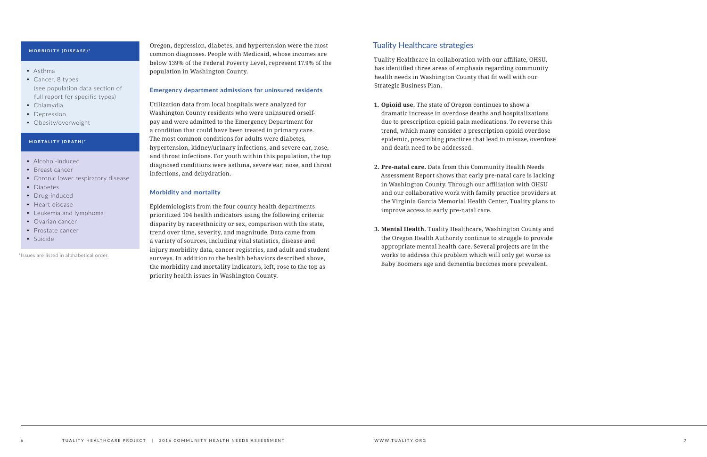Oregon, depression, diabetes, and hypertension were the most common diagnoses. People with Medicaid, whose incomes are below 139% of the Federal Poverty Level, represent 17.9% of the population in Washington County.

#### **Emergency department admissions for uninsured residents**

Utilization data from local hospitals were analyzed for Washington County residents who were uninsured orselfpay and were admitted to the Emergency Department for a condition that could have been treated in primary care. The most common conditions for adults were diabetes, hypertension, kidney/urinary infections, and severe ear, nose, and throat infections. For youth within this population, the top diagnosed conditions were asthma, severe ear, nose, and throat infections, and dehydration.

#### **Morbidity and mortality**

Epidemiologists from the four county health departments prioritized 104 health indicators using the following criteria: disparity by race/ethnicity or sex, comparison with the state, trend over time, severity, and magnitude. Data came from a variety of sources, including vital statistics, disease and injury morbidity data, cancer registries, and adult and student surveys. In addition to the health behaviors described above, the morbidity and mortality indicators, left, rose to the top as priority health issues in Washington County.

#### MORBIDITY (DISEASE)\*

- Asthma
- Cancer, 8 types (see population data section of full report for specific types)
- Chlamydia
- Depression
- Obesity/overweight

#### MORTALITY (DEATH)\*

- Alcohol-induced
- Breast cancer
- Chronic lower respiratory disease
- Diabetes
- Drug-induced
- Heart disease
- Leukemia and lymphoma
- Ovarian cancer
- Prostate cancer
- Suicide

\*Issues are listed in alphabetical order.

### Tuality Healthcare strategies

Tuality Healthcare in collaboration with our affiliate, OHSU, has identified three areas of emphasis regarding community health needs in Washington County that fit well with our Strategic Business Plan.

- **1. Opioid use.** The state of Oregon continues to show a dramatic increase in overdose deaths and hospitalizations due to prescription opioid pain medications. To reverse this trend, which many consider a prescription opioid overdose epidemic, prescribing practices that lead to misuse, overdose and death need to be addressed.
- **2. Pre-natal care.** Data from this Community Health Needs Assessment Report shows that early pre-natal care is lacking in Washington County. Through our affiliation with OHSU and our collaborative work with family practice providers at the Virginia Garcia Memorial Health Center, Tuality plans to improve access to early pre-natal care.
- **3. Mental Health.** Tuality Healthcare, Washington County and the Oregon Health Authority continue to struggle to provide appropriate mental health care. Several projects are in the works to address this problem which will only get worse as Baby Boomers age and dementia becomes more prevalent.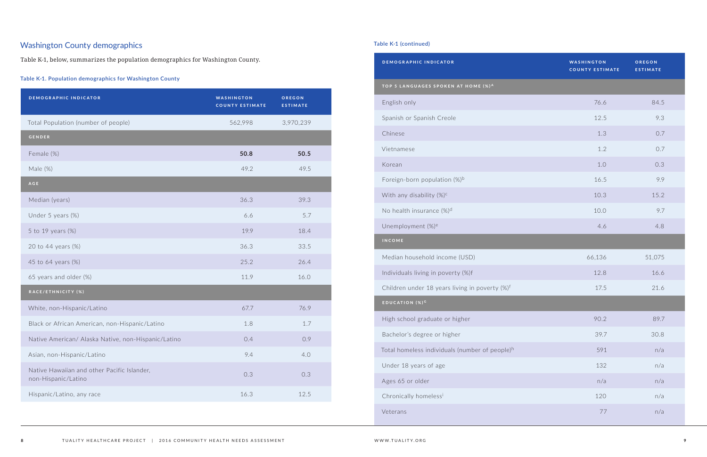## Washington County demographics

Table K-1, below, summarizes the population demographics for Washington County.

#### **Table K-1. Population demographics for Washington County**

| <b>DEMOGRAPHIC INDICATOR</b>                                       | <b>WASHINGTON</b><br><b>COUNTY ESTIMATE</b> | OREGON<br><b>ESTIMATE</b> |
|--------------------------------------------------------------------|---------------------------------------------|---------------------------|
| Total Population (number of people)                                | 562,998                                     | 3,970,239                 |
| <b>GENDER</b>                                                      |                                             |                           |
| Female (%)                                                         | 50.8                                        | 50.5                      |
| Male (%)                                                           | 49.2                                        | 49.5                      |
| <b>AGE</b>                                                         |                                             |                           |
| Median (years)                                                     | 36.3                                        | 39.3                      |
| Under 5 years (%)                                                  | 6.6                                         | 5.7                       |
| 5 to 19 years (%)                                                  | 19.9                                        | 18.4                      |
| 20 to 44 years (%)                                                 | 36.3                                        | 33.5                      |
| 45 to 64 years (%)                                                 | 25.2                                        | 26.4                      |
| 65 years and older (%)                                             | 11.9                                        | 16.0                      |
| RACE/ETHNICITY (%)                                                 |                                             |                           |
| White, non-Hispanic/Latino                                         | 67.7                                        | 76.9                      |
| Black or African American, non-Hispanic/Latino                     | 1.8                                         | 1.7                       |
| Native American/ Alaska Native, non-Hispanic/Latino                | 0.4                                         | 0.9                       |
| Asian, non-Hispanic/Latino                                         | 9.4                                         | 4.0                       |
| Native Hawaiian and other Pacific Islander,<br>non-Hispanic/Latino | 0.3                                         | 0.3                       |
| Hispanic/Latino, any race                                          | 16.3                                        | 12.5                      |

| <b>DEMOGRAPHIC INDICATOR</b>                               | <b>WASHINGTON</b><br><b>COUNTY ESTIMATE</b> | OREGON<br><b>ESTIMATE</b> |
|------------------------------------------------------------|---------------------------------------------|---------------------------|
| TOP 5 LANGUAGES SPOKEN AT HOME (%)A                        |                                             |                           |
| English only                                               | 76.6                                        | 84.5                      |
| Spanish or Spanish Creole                                  | 12.5                                        | 9.3                       |
| Chinese                                                    | 1.3                                         | 0.7                       |
| Vietnamese                                                 | 1.2                                         | 0.7                       |
| Korean                                                     | 1.0                                         | 0.3                       |
| Foreign-born population $(\%)^b$                           | 16.5                                        | 9.9                       |
| With any disability $(\%)^c$                               | 10.3                                        | 15.2                      |
| No health insurance $(\%)^d$                               | 10.0                                        | 9.7                       |
| Unemployment (%) <sup>e</sup>                              | 4.6                                         | 4.8                       |
| <b>INCOME</b>                                              |                                             |                           |
| Median household income (USD)                              | 66,136                                      | 51,075                    |
| Individuals living in poverty (%)f                         | 12.8                                        | 16.6                      |
| Children under 18 years living in poverty (%) <sup>f</sup> | 17.5                                        | 21.6                      |
| EDUCATION (%) <sup>G</sup>                                 |                                             |                           |
| High school graduate or higher                             | 90.2                                        | 89.7                      |
| Bachelor's degree or higher                                | 39.7                                        | 30.8                      |
| Total homeless individuals (number of people) <sup>h</sup> | 591                                         | n/a                       |
| Under 18 years of age                                      | 132                                         | n/a                       |
| Ages 65 or older                                           | n/a                                         | n/a                       |
| Chronically homelessi                                      | 120                                         | n/a                       |
| Veterans                                                   | 77                                          | n/a                       |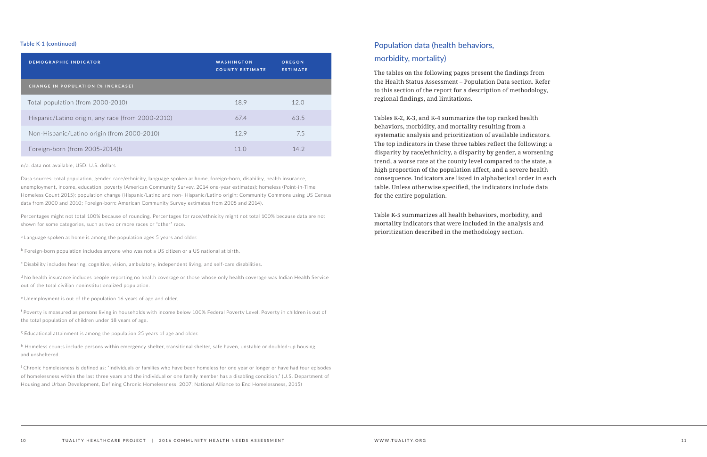| DEMOGRAPHIC INDICATOR                             | WASHINGTON<br><b>COUNTY ESTIMATE</b> | OREGON<br><b>ESTIMATE</b> |
|---------------------------------------------------|--------------------------------------|---------------------------|
| <b>CHANGE IN POPULATION (% INCREASE)</b>          |                                      |                           |
| Total population (from 2000-2010)                 | 18.9                                 | 12.0                      |
| Hispanic/Latino origin, any race (from 2000-2010) | 67.4                                 | 63.5                      |
| Non-Hispanic/Latino origin (from 2000-2010)       | 129                                  | 7.5                       |
| Foreign-born (from 2005-2014)b                    | 11 <sub>O</sub>                      | 14.2                      |

n/a: data not available; USD: U.S. dollars

Data sources: total population, gender, race/ethnicity, language spoken at home, foreign-born, disability, health insurance, unemployment, income, education, poverty (American Community Survey, 2014 one-year estimates); homeless (Point-in-Time Homeless Count 2015); population change (Hispanic/Latino and non- Hispanic/Latino origin: Community Commons using US Census data from 2000 and 2010; Foreign-born: American Community Survey estimates from 2005 and 2014).

<sup>d</sup> No health insurance includes people reporting no health coverage or those whose only health coverage was Indian Health Service out of the total civilian noninstitutionalized population.

f Poverty is measured as persons living in households with income below 100% Federal Poverty Level. Poverty in children is out of the total population of children under 18 years of age.

<sup>8</sup> Educational attainment is among the population 25 years of age and older.

Percentages might not total 100% because of rounding. Percentages for race/ethnicity might not total 100% because data are not shown for some categories, such as two or more races or "other" race.

<sup>a</sup> Language spoken at home is among the population ages 5 years and older.

 $<sup>b</sup>$  Foreign-born population includes anyone who was not a US citizen or a US national at birth.</sup>

 $c$  Disability includes hearing, cognitive, vision, ambulatory, independent living, and self-care disabilities.

h Homeless counts include persons within emergency shelter, transitional shelter, safe haven, unstable or doubled-up housing, and unsheltered.

<sup>e</sup>Unemployment is out of the population 16 years of age and older.

i Chronic homelessness is defined as: "Individuals or families who have been homeless for one year or longer or have had four episodes of homelessness within the last three years and the individual or one family member has a disabling condition." (U.S. Department of Housing and Urban Development, Defining Chronic Homelessness. 2007; National Alliance to End Homelessness, 2015)

## Population data (health behaviors, morbidity, mortality)

The tables on the following pages present the findings from the Health Status Assessment – Population Data section. Refer to this section of the report for a description of methodology, regional findings, and limitations.

Tables K-2, K-3, and K-4 summarize the top ranked health behaviors, morbidity, and mortality resulting from a systematic analysis and prioritization of available indicators. The top indicators in these three tables reflect the following: a disparity by race/ethnicity, a disparity by gender, a worsening trend, a worse rate at the county level compared to the state, a high proportion of the population affect, and a severe health consequence. Indicators are listed in alphabetical order in each table. Unless otherwise specified, the indicators include data for the entire population.

Table K-5 summarizes all health behaviors, morbidity, and mortality indicators that were included in the analysis and prioritization described in the methodology section.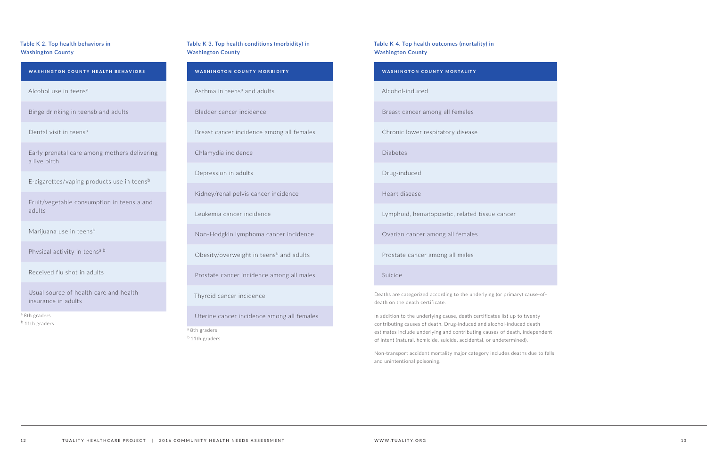#### **Table K-2. Top health behaviors in Washington County**

#### WASHINGTON COUNTY HEALTH BEHAVIORS

Alcohol use in teens<sup>a</sup>

Binge drinking in teensb and adults

Dental visit in teens<sup>a</sup>

Early prenatal care among mothers delivering a live birth

E-cigarettes/vaping products use in teens<sup>b</sup>

Fruit/vegetable consumption in teens a and adults

Marijuana use in teens<sup>b</sup>

Physical activity in teens<sup>a,b</sup>

Received flu shot in adults

Usual source of health care and health insurance in adults

<sup>a</sup> 8th graders b 11th graders

#### **Table K-3. Top health conditions (morbidity) in Washington County**

#### WASHINGTON COUNTY MORBIDITY

Asthma in teens<sup> $a$ </sup> and adults

Bladder cancer incidence

Breast cancer incidence among all females

Chlamydia incidence

Depression in adults

Kidney/renal pelvis cancer incidence

Leukemia cancer incidence

Non-Hodgkin lymphoma cancer incidence

Obesity/overweight in teens<sup>b</sup> and adults

Prostate cancer incidence among all males

Thyroid cancer incidence

Uterine cancer incidence among all females

a 8th graders

<sup>b</sup> 11th graders

#### **Table K-4. Top health outcomes (mortality) in Washington County**

# WASHINGTON COUNTY MORTALITY Alcohol-induced Breast cancer among all females Chronic lower respiratory disease Diabetes Drug-induced Heart disease Lymphoid, hematopoietic, related tissue cancer Ovarian cancer among all females Prostate cancer among all males

Suicide

Deaths are categorized according to the underlying (or primary) cause-ofdeath on the death certificate.

In addition to the underlying cause, death certificates list up to twenty contributing causes of death. Drug-induced and alcohol-induced death estimates include underlying and contributing causes of death, independent of intent (natural, homicide, suicide, accidental, or undetermined).

Non-transport accident mortality major category includes deaths due to falls and unintentional poisoning.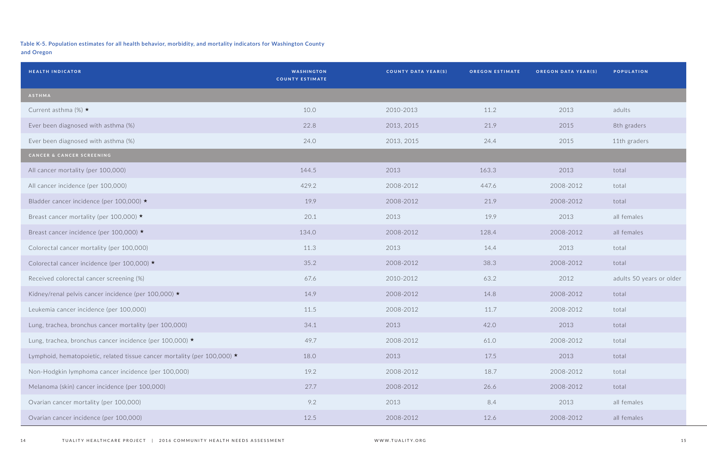## **Table K-5. Population estimates for all health behavior, morbidity, and mortality indicators for Washington County**

**and Oregon**

| <b>HEALTH INDICATOR</b>                                                  | <b>WASHINGTON</b><br><b>COUNTY ESTIMATE</b> | <b>COUNTY DATA YEAR(S)</b> | <b>OREGON ESTIMATE</b> | <b>OREGON DATA YEAR(S)</b> | <b>POPULATION</b>        |
|--------------------------------------------------------------------------|---------------------------------------------|----------------------------|------------------------|----------------------------|--------------------------|
| ASTHMA                                                                   |                                             |                            |                        |                            |                          |
| Current asthma (%) $\star$                                               | 10.0                                        | 2010-2013                  | 11.2                   | 2013                       | adults                   |
| Ever been diagnosed with asthma (%)                                      | 22.8                                        | 2013, 2015                 | 21.9                   | 2015                       | 8th graders              |
| Ever been diagnosed with asthma (%)                                      | 24.0                                        | 2013, 2015                 | 24.4                   | 2015                       | 11th graders             |
| CANCER & CANCER SCREENING                                                |                                             |                            |                        |                            |                          |
| All cancer mortality (per 100,000)                                       | 144.5                                       | 2013                       | 163.3                  | 2013                       | total                    |
| All cancer incidence (per 100,000)                                       | 429.2                                       | 2008-2012                  | 447.6                  | 2008-2012                  | total                    |
| Bladder cancer incidence (per 100,000) *                                 | 19.9                                        | 2008-2012                  | 21.9                   | 2008-2012                  | total                    |
| Breast cancer mortality (per 100,000) ★                                  | 20.1                                        | 2013                       | 19.9                   | 2013                       | all females              |
| Breast cancer incidence (per 100,000) ★                                  | 134.0                                       | 2008-2012                  | 128.4                  | 2008-2012                  | all females              |
| Colorectal cancer mortality (per 100,000)                                | 11.3                                        | 2013                       | 14.4                   | 2013                       | total                    |
| Colorectal cancer incidence (per 100,000) *                              | 35.2                                        | 2008-2012                  | 38.3                   | 2008-2012                  | total                    |
| Received colorectal cancer screening (%)                                 | 67.6                                        | 2010-2012                  | 63.2                   | 2012                       | adults 50 years or older |
| Kidney/renal pelvis cancer incidence (per 100,000) ★                     | 14.9                                        | 2008-2012                  | 14.8                   | 2008-2012                  | total                    |
| Leukemia cancer incidence (per 100,000)                                  | 11.5                                        | 2008-2012                  | 11.7                   | 2008-2012                  | total                    |
| Lung, trachea, bronchus cancer mortality (per 100,000)                   | 34.1                                        | 2013                       | 42.0                   | 2013                       | total                    |
| Lung, trachea, bronchus cancer incidence (per 100,000) ★                 | 49.7                                        | 2008-2012                  | 61.0                   | 2008-2012                  | total                    |
| Lymphoid, hematopoietic, related tissue cancer mortality (per 100,000) * | 18.0                                        | 2013                       | 17.5                   | 2013                       | total                    |
| Non-Hodgkin lymphoma cancer incidence (per 100,000)                      | 19.2                                        | 2008-2012                  | 18.7                   | 2008-2012                  | total                    |
| Melanoma (skin) cancer incidence (per 100,000)                           | 27.7                                        | 2008-2012                  | 26.6                   | 2008-2012                  | total                    |
| Ovarian cancer mortality (per 100,000)                                   | 9.2                                         | 2013                       | 8.4                    | 2013                       | all females              |
| Ovarian cancer incidence (per 100,000)                                   | 12.5                                        | 2008-2012                  | 12.6                   | 2008-2012                  | all females              |

| OREGON DATA YEAR(S) | <b>POPULATION</b>        |
|---------------------|--------------------------|
|                     |                          |
| 2013                | adults                   |
| 2015                | 8th graders              |
| 2015                | 11th graders             |
|                     |                          |
| 2013                | total                    |
| 2008-2012           | total                    |
| 2008-2012           | total                    |
| 2013                | all females              |
| 2008-2012           | all females              |
| 2013                | total                    |
| 2008-2012           | total                    |
| 2012                | adults 50 years or older |
| 2008-2012           | total                    |
| 2008-2012           | total                    |
| 2013                | total                    |
| 2008-2012           | total                    |
| 2013                | total                    |
| 2008-2012           | total                    |
| 2008-2012           | total                    |
| 2013                | all females              |
|                     |                          |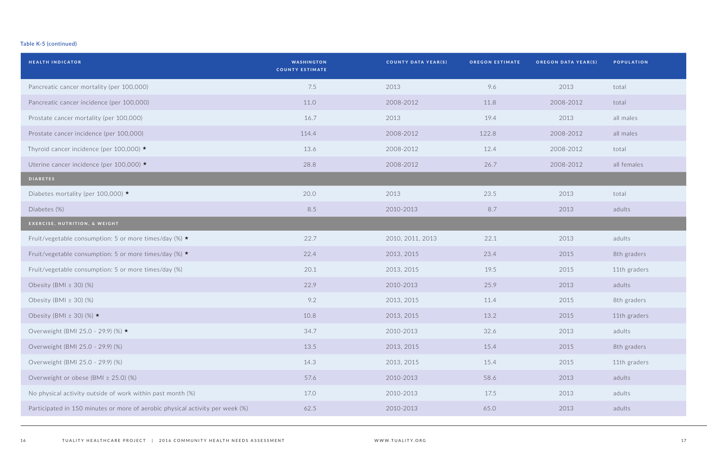| <b>HEALTH INDICATOR</b>                                                       | <b>WASHINGTON</b><br><b>COUNTY ESTIMATE</b> | <b>COUNTY DATA YEAR(S)</b> | <b>OREGON ESTIMATE</b> | <b>OREGON DATA YEAR(S)</b> | <b>POPULATION</b> |
|-------------------------------------------------------------------------------|---------------------------------------------|----------------------------|------------------------|----------------------------|-------------------|
| Pancreatic cancer mortality (per 100,000)                                     | 7.5                                         | 2013                       | 9.6                    | 2013                       | total             |
| Pancreatic cancer incidence (per 100,000)                                     | 11.0                                        | 2008-2012                  | 11.8                   | 2008-2012                  | total             |
| Prostate cancer mortality (per 100,000)                                       | 16.7                                        | 2013                       | 19.4                   | 2013                       | all males         |
| Prostate cancer incidence (per 100,000)                                       | 114.4                                       | 2008-2012                  | 122.8                  | 2008-2012                  | all males         |
| Thyroid cancer incidence (per 100,000) ★                                      | 13.6                                        | 2008-2012                  | 12.4                   | 2008-2012                  | total             |
| Uterine cancer incidence (per 100,000) ★                                      | 28.8                                        | 2008-2012                  | 26.7                   | 2008-2012                  | all females       |
| <b>DIABETES</b>                                                               |                                             |                            |                        |                            |                   |
| Diabetes mortality (per 100,000) $\star$                                      | 20.0                                        | 2013                       | 23.5                   | 2013                       | total             |
| Diabetes (%)                                                                  | 8.5                                         | 2010-2013                  | 8.7                    | 2013                       | adults            |
| EXERCISE, NUTRITION, & WEIGHT                                                 |                                             |                            |                        |                            |                   |
| Fruit/vegetable consumption: 5 or more times/day (%) ★                        | 22.7                                        | 2010, 2011, 2013           | 22.1                   | 2013                       | adults            |
| Fruit/vegetable consumption: 5 or more times/day (%) ★                        | 22.4                                        | 2013, 2015                 | 23.4                   | 2015                       | 8th graders       |
| Fruit/vegetable consumption: 5 or more times/day (%)                          | 20.1                                        | 2013, 2015                 | 19.5                   | 2015                       | 11th graders      |
| Obesity (BMI $\geq$ 30) (%)                                                   | 22.9                                        | 2010-2013                  | 25.9                   | 2013                       | adults            |
| Obesity (BMI $\geq$ 30) (%)                                                   | 9.2                                         | 2013, 2015                 | 11.4                   | 2015                       | 8th graders       |
| Obesity (BMI $\geq$ 30) (%) $\star$                                           | 10.8                                        | 2013, 2015                 | 13.2                   | 2015                       | 11th graders      |
| Overweight (BMI 25.0 - 29.9) (%) ★                                            | 34.7                                        | 2010-2013                  | 32.6                   | 2013                       | adults            |
| Overweight (BMI 25.0 - 29.9) (%)                                              | 13.5                                        | 2013, 2015                 | 15.4                   | 2015                       | 8th graders       |
| Overweight (BMI 25.0 - 29.9) (%)                                              | 14.3                                        | 2013, 2015                 | 15.4                   | 2015                       | 11th graders      |
| Overweight or obese (BMI $\geq$ 25.0) (%)                                     | 57.6                                        | 2010-2013                  | 58.6                   | 2013                       | adults            |
| No physical activity outside of work within past month (%)                    | 17.0                                        | 2010-2013                  | 17.5                   | 2013                       | adults            |
| Participated in 150 minutes or more of aerobic physical activity per week (%) | 62.5                                        | 2010-2013                  | 65.0                   | 2013                       | adults            |
|                                                                               |                                             |                            |                        |                            |                   |

| OREGON DATA YEAR(S) | <b>POPULATION</b> |
|---------------------|-------------------|
| 2013                | total             |
| 2008-2012           | total             |
| 2013                | all males         |
| 2008-2012           | all males         |
| 2008-2012           | total             |
| 2008-2012           | all females       |
|                     |                   |
| 2013                | total             |
| 2013                | adults            |
|                     |                   |
| 2013                | adults            |
| 2015                | 8th graders       |
| 2015                | 11th graders      |
| 2013                | adults            |
| 2015                | 8th graders       |
| 2015                | 11th graders      |
| 2013                | adults            |
| 2015                | 8th graders       |
| 2015                | 11th graders      |
| 2013                | adults            |
| 2013                | adults            |
| 2013                | adults            |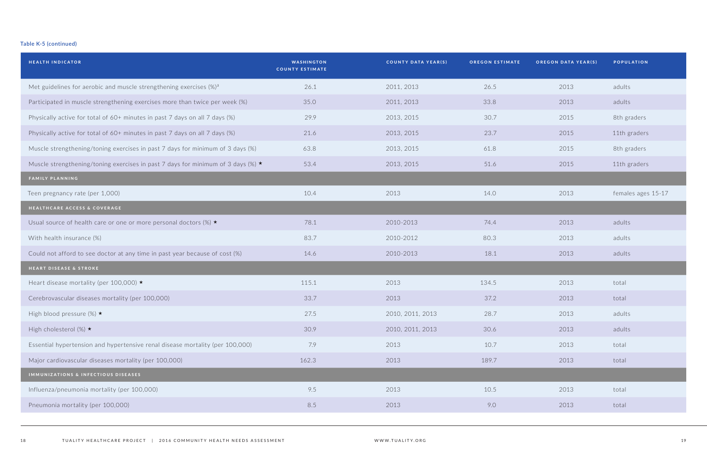| <b>WASHINGTON</b><br><b>COUNTY ESTIMATE</b> | <b>COUNTY DATA YEAR(S)</b> | <b>OREGON ESTIMATE</b> | OREGON DATA YEAR(S) | POPULATION         |
|---------------------------------------------|----------------------------|------------------------|---------------------|--------------------|
| 26.1                                        | 2011, 2013                 | 26.5                   | 2013                | adults             |
| 35.0                                        | 2011, 2013                 | 33.8                   | 2013                | adults             |
| 29.9                                        | 2013, 2015                 | 30.7                   | 2015                | 8th graders        |
| 21.6                                        | 2013, 2015                 | 23.7                   | 2015                | 11th graders       |
| 63.8                                        | 2013, 2015                 | 61.8                   | 2015                | 8th graders        |
| 53.4                                        | 2013, 2015                 | 51.6                   | 2015                | 11th graders       |
|                                             |                            |                        |                     |                    |
| 10.4                                        | 2013                       | 14.0                   | 2013                | females ages 15-17 |
|                                             |                            |                        |                     |                    |
| 78.1                                        | 2010-2013                  | 74.4                   | 2013                | adults             |
| 83.7                                        | 2010-2012                  | 80.3                   | 2013                | adults             |
| 14.6                                        | 2010-2013                  | 18.1                   | 2013                | adults             |
|                                             |                            |                        |                     |                    |
| 115.1                                       | 2013                       | 134.5                  | 2013                | total              |
| 33.7                                        | 2013                       | 37.2                   | 2013                | total              |
| 27.5                                        | 2010, 2011, 2013           | 28.7                   | 2013                | adults             |
| 30.9                                        | 2010, 2011, 2013           | 30.6                   | 2013                | adults             |
| 7.9                                         | 2013                       | 10.7                   | 2013                | total              |
| 162.3                                       | 2013                       | 189.7                  | 2013                | total              |
|                                             |                            |                        |                     |                    |
| 9.5                                         | 2013                       | 10.5                   | 2013                | total              |
| 8.5                                         | 2013                       | 9.0                    | 2013                | total              |
|                                             |                            |                        |                     |                    |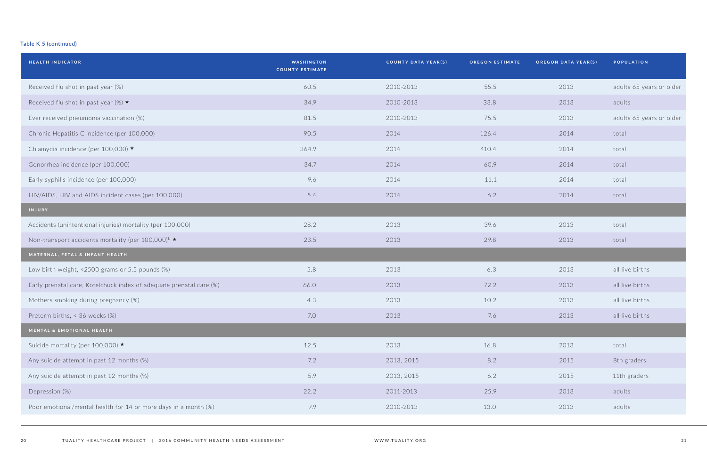| <b>HEALTH INDICATOR</b>                                              | <b>WASHINGTON</b><br><b>COUNTY ESTIMATE</b> | COUNTY DATA YEAR(S) | <b>OREGON ESTIMATE</b> | <b>OREGON DATA YEAR(S)</b> | <b>POPULATION</b>        |
|----------------------------------------------------------------------|---------------------------------------------|---------------------|------------------------|----------------------------|--------------------------|
| Received flu shot in past year (%)                                   | 60.5                                        | 2010-2013           | 55.5                   | 2013                       | adults 65 years or older |
| Received flu shot in past year (%) $\star$                           | 34.9                                        | 2010-2013           | 33.8                   | 2013                       | adults                   |
| Ever received pneumonia vaccination (%)                              | 81.5                                        | 2010-2013           | 75.5                   | 2013                       | adults 65 years or older |
| Chronic Hepatitis C incidence (per 100,000)                          | 90.5                                        | 2014                | 126.4                  | 2014                       | total                    |
| Chlamydia incidence (per 100,000) ★                                  | 364.9                                       | 2014                | 410.4                  | 2014                       | total                    |
| Gonorrhea incidence (per 100,000)                                    | 34.7                                        | 2014                | 60.9                   | 2014                       | total                    |
| Early syphilis incidence (per 100,000)                               | 9.6                                         | 2014                | 11.1                   | 2014                       | total                    |
| HIV/AIDS, HIV and AIDS incident cases (per 100,000)                  | 5.4                                         | 2014                | 6.2                    | 2014                       | total                    |
| INJURY                                                               |                                             |                     |                        |                            |                          |
| Accidents (unintentional injuries) mortality (per 100,000)           | 28.2                                        | 2013                | 39.6                   | 2013                       | total                    |
| Non-transport accidents mortality (per 100,000) <sup>b</sup> $\star$ | 23.5                                        | 2013                | 29.8                   | 2013                       | total                    |
| MATERNAL, FETAL & INFANT HEALTH                                      |                                             |                     |                        |                            |                          |
| Low birth weight, <2500 grams or 5.5 pounds (%)                      | 5.8                                         | 2013                | 6.3                    | 2013                       | all live births          |
| Early prenatal care, Kotelchuck index of adequate prenatal care (%)  | 66.0                                        | 2013                | 72.2                   | 2013                       | all live births          |
| Mothers smoking during pregnancy (%)                                 | 4.3                                         | 2013                | 10.2                   | 2013                       | all live births          |
| Preterm births, < 36 weeks (%)                                       | 7.0                                         | 2013                | 7.6                    | 2013                       | all live births          |
| MENTAL & EMOTIONAL HEALTH                                            |                                             |                     |                        |                            |                          |
| Suicide mortality (per 100,000) ★                                    | 12.5                                        | 2013                | 16.8                   | 2013                       | total                    |
| Any suicide attempt in past 12 months (%)                            | 7.2                                         | 2013, 2015          | 8.2                    | 2015                       | 8th graders              |
| Any suicide attempt in past 12 months (%)                            | 5.9                                         | 2013, 2015          | 6.2                    | 2015                       | 11th graders             |
| Depression (%)                                                       | 22.2                                        | 2011-2013           | 25.9                   | 2013                       | adults                   |
| Poor emotional/mental health for 14 or more days in a month (%)      | 9.9                                         | 2010-2013           | 13.0                   | 2013                       | adults                   |

| OREGON DATA YEAR(S) POPULATION |                          |
|--------------------------------|--------------------------|
| 2013                           | adults 65 years or older |
| 2013                           | adults                   |
| 2013                           | adults 65 years or older |
| 2014                           | total                    |
| 2014                           | total                    |
| 2014                           | total                    |
| 2014                           | total                    |
| 2014                           | total                    |
|                                |                          |
| 2013                           | total                    |
| 2013                           | total                    |
|                                |                          |
| 2013                           | all live births          |
| 2013                           | all live births          |
| 2013                           | all live births          |
| 2013                           | all live births          |
|                                |                          |
| 2013                           | total                    |
| 2015                           | 8th graders              |
| 2015                           | 11th graders             |
| 2013                           | adults                   |
| 2013                           | adults                   |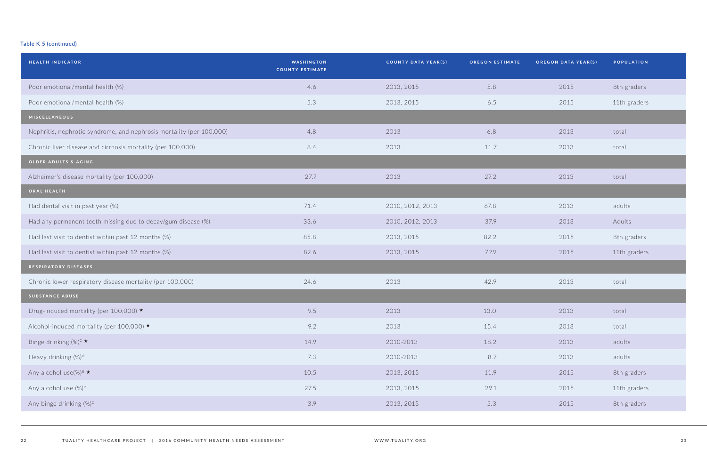| <b>HEALTH INDICATOR</b>                                              | <b>WASHINGTON</b><br><b>COUNTY ESTIMATE</b> | <b>COUNTY DATA YEAR(S)</b> | <b>OREGON ESTIMATE</b> | <b>OREGON DATA YEAR(S)</b> | <b>POPULATION</b> |
|----------------------------------------------------------------------|---------------------------------------------|----------------------------|------------------------|----------------------------|-------------------|
| Poor emotional/mental health (%)                                     | 4.6                                         | 2013, 2015                 | 5.8                    | 2015                       | 8th graders       |
| Poor emotional/mental health (%)                                     | 5.3                                         | 2013, 2015                 | 6.5                    | 2015                       | 11th graders      |
| MISCELLANEOUS                                                        |                                             |                            |                        |                            |                   |
| Nephritis, nephrotic syndrome, and nephrosis mortality (per 100,000) | 4.8                                         | 2013                       | 6.8                    | 2013                       | total             |
| Chronic liver disease and cirrhosis mortality (per 100,000)          | 8.4                                         | 2013                       | 11.7                   | 2013                       | total             |
| OLDER ADULTS & AGING                                                 |                                             |                            |                        |                            |                   |
| Alzheimer's disease mortality (per 100,000)                          | 27.7                                        | 2013                       | 27.2                   | 2013                       | total             |
| ORAL HEALTH                                                          |                                             |                            |                        |                            |                   |
| Had dental visit in past year (%)                                    | 71.4                                        | 2010, 2012, 2013           | 67.8                   | 2013                       | adults            |
| Had any permanent teeth missing due to decay/gum disease (%)         | 33.6                                        | 2010, 2012, 2013           | 37.9                   | 2013                       | Adults            |
| Had last visit to dentist within past 12 months (%)                  | 85.8                                        | 2013, 2015                 | 82.2                   | 2015                       | 8th graders       |
| Had last visit to dentist within past 12 months (%)                  | 82.6                                        | 2013, 2015                 | 79.9                   | 2015                       | 11th graders      |
| RESPIRATORY DISEASES                                                 |                                             |                            |                        |                            |                   |
| Chronic lower respiratory disease mortality (per 100,000)            | 24.6                                        | 2013                       | 42.9                   | 2013                       | total             |
| <b>SUBSTANCE ABUSE</b>                                               |                                             |                            |                        |                            |                   |
| Drug-induced mortality (per 100,000) ★                               | 9.5                                         | 2013                       | 13.0                   | 2013                       | total             |
| Alcohol-induced mortality (per 100,000) ★                            | 9.2                                         | 2013                       | 15.4                   | 2013                       | total             |
| Binge drinking $(\%)^c \star$                                        | 14.9                                        | 2010-2013                  | 18.2                   | 2013                       | adults            |
| Heavy drinking (%) <sup>d</sup>                                      | 7.3                                         | 2010-2013                  | 8.7                    | 2013                       | adults            |
| Any alcohol use(%) <sup>e</sup> $\star$                              | 10.5                                        | 2013, 2015                 | 11.9                   | 2015                       | 8th graders       |
| Any alcohol use (%) <sup>e</sup>                                     | 27.5                                        | 2013, 2015                 | 29.1                   | 2015                       | 11th graders      |
| Any binge drinking (%) <sup>c</sup>                                  | 3.9                                         | 2013, 2015                 | 5.3                    | 2015                       | 8th graders       |
|                                                                      |                                             |                            |                        |                            |                   |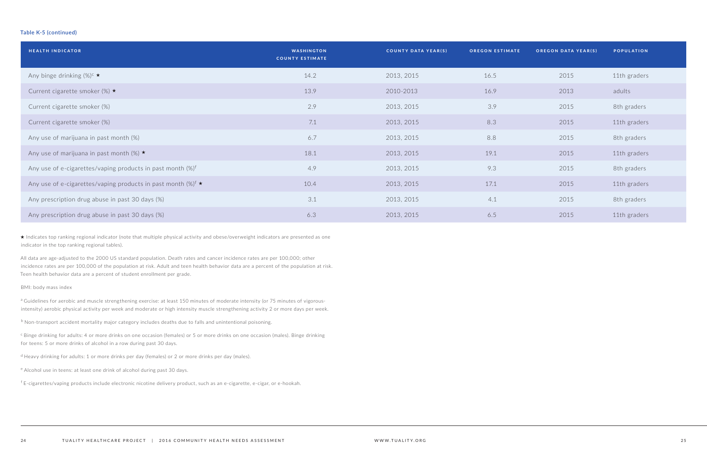| <b>HEALTH INDICATOR</b>                                                | <b>WASHINGTON</b><br><b>COUNTY ESTIMATE</b> | <b>COUNTY DATA YEAR(S)</b> | <b>OREGON ESTIMATE</b> | <b>OREGON DATA YEAR(S)</b> | <b>POPULATION</b> |
|------------------------------------------------------------------------|---------------------------------------------|----------------------------|------------------------|----------------------------|-------------------|
| Any binge drinking $(\%)^c \star$                                      | 14.2                                        | 2013, 2015                 | 16.5                   | 2015                       | 11th graders      |
| Current cigarette smoker (%) $\star$                                   | 13.9                                        | 2010-2013                  | 16.9                   | 2013                       | adults            |
| Current cigarette smoker (%)                                           | 2.9                                         | 2013, 2015                 | 3.9                    | 2015                       | 8th graders       |
| Current cigarette smoker (%)                                           | 7.1                                         | 2013, 2015                 | 8.3                    | 2015                       | 11th graders      |
| Any use of marijuana in past month (%)                                 | 6.7                                         | 2013, 2015                 | 8.8                    | 2015                       | 8th graders       |
| Any use of marijuana in past month (%) $\star$                         | 18.1                                        | 2013, 2015                 | 19.1                   | 2015                       | 11th graders      |
| Any use of e-cigarettes/vaping products in past month $(\%)^{\dagger}$ | 4.9                                         | 2013, 2015                 | 9.3                    | 2015                       | 8th graders       |
| Any use of e-cigarettes/vaping products in past month $(\%)^f \star$   | 10.4                                        | 2013, 2015                 | 17.1                   | 2015                       | 11th graders      |
| Any prescription drug abuse in past 30 days (%)                        | 3.1                                         | 2013, 2015                 | 4.1                    | 2015                       | 8th graders       |
| Any prescription drug abuse in past 30 days (%)                        | 6.3                                         | 2013, 2015                 | 6.5                    | 2015                       | 11th graders      |

<sup>a</sup> Guidelines for aerobic and muscle strengthening exercise: at least 150 minutes of moderate intensity (or 75 minutes of vigorousintensity) aerobic physical activity per week and moderate or high intensity muscle strengthening activity 2 or more days per week.

<sup>b</sup> Non-transport accident mortality major category includes deaths due to falls and unintentional poisoning.

c Binge drinking for adults: 4 or more drinks on one occasion (females) or 5 or more drinks on one occasion (males). Binge drinking for teens: 5 or more drinks of alcohol in a row during past 30 days.

 $d$  Heavy drinking for adults: 1 or more drinks per day (females) or 2 or more drinks per day (males).

e Alcohol use in teens: at least one drink of alcohol during past 30 days.

★ Indicates top ranking regional indicator (note that multiple physical activity and obese/overweight indicators are presented as one indicator in the top ranking regional tables).

All data are age-adjusted to the 2000 US standard population. Death rates and cancer incidence rates are per 100,000; other incidence rates are per 100,000 of the population at risk. Adult and teen health behavior data are a percent of the population at risk. Teen health behavior data are a percent of student enrollment per grade.

BMI: body mass index

<sup>f</sup>E-cigarettes/vaping products include electronic nicotine delivery product, such as an e-cigarette, e-cigar, or e-hookah.

| <b>OREGON DATA YEAR(S)</b> | <b>POPULATION</b> |
|----------------------------|-------------------|
| 2015                       | 11th graders      |
| 2013                       | adults            |
| 2015                       | 8th graders       |
| 2015                       | 11th graders      |
| 2015                       | 8th graders       |
| 2015                       | 11th graders      |
| 2015                       | 8th graders       |
| 2015                       | 11th graders      |
| 2015                       | 8th graders       |
| 2015                       | 11th graders      |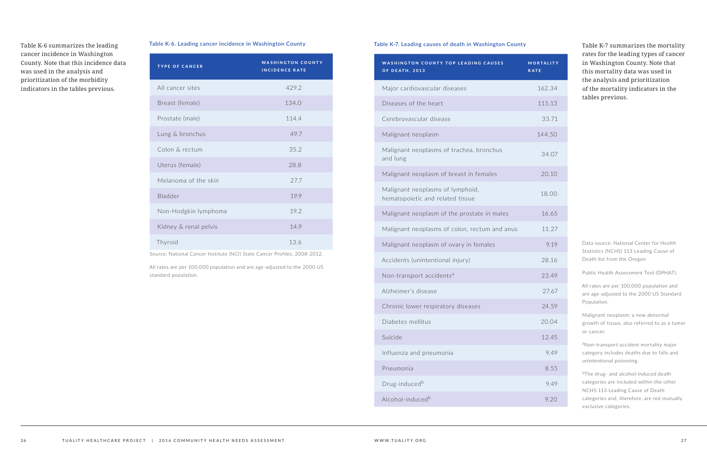#### **Table K-6. Leading cancer incidence in Washington County**

| <b>TYPE OF CANCER</b> | <b>WASHINGTON COUNTY</b><br><b>INCIDENCE RATE</b> |
|-----------------------|---------------------------------------------------|
| All cancer sites      | 429.2                                             |
| Breast (female)       | 134.0                                             |
| Prostate (male)       | 114.4                                             |
| Lung & bronchus       | 49.7                                              |
| Colon & rectum        | 35.2                                              |
| Uterus (female)       | 28.8                                              |
| Melanoma of the skin  | 27.7                                              |
| Bladder               | 19.9                                              |
| Non-Hodgkin lymphoma  | 19.2                                              |
| Kidney & renal pelvis | 14.9                                              |
| Thyroid               | 13.6                                              |

Source: National Cancer Institute (NCI) State Cancer Profiles, 2008-2012.

All rates are per 100,000 population and are age-adjusted to the 2000 US standard population.

Table K-6 summarizes the leading cancer incidence in Washington County. Note that this incidence data was used in the analysis and prioritization of the morbidity indicators in the tables previous.

Table K-7 summarizes the mortality rates for the leading types of cancer in Washington County. Note that this mortality data was used in the analysis and prioritization of the mortality indicators in the tables previous.

#### **Table K-7. Leading causes of death in Washington County**

aNon-transport accident mortality major category includes deaths due to falls and unintentional poisoning.

| <b>MORTALITY</b><br><b>RATE</b> |  |
|---------------------------------|--|
| 162.34                          |  |
| 115.13                          |  |
| 33.71                           |  |
| 144.50                          |  |
| 34.07                           |  |
| 20.10                           |  |
| 18.00                           |  |
| 16.65                           |  |
| 11.27                           |  |
| 9.19                            |  |
| 28.16                           |  |
| 23.49                           |  |
| 27.67                           |  |
| 24.59                           |  |
| 20.04                           |  |
| 12.45                           |  |
| 9.49                            |  |
| 8.55                            |  |
| 9.49                            |  |
| 9.20                            |  |

bThe drug- and alcohol-induced death categories are included within the other NCHS 113 Leading Cause of Death categories and, therefore, are not mutually exclusive categories.

| <b>WASHINGTON COUNTY TOP LEADING CAUSES</b><br><b>OF DEATH, 2013</b> | MORTALITY<br><b>RATE</b> |
|----------------------------------------------------------------------|--------------------------|
| Major cardiovascular diseases                                        | 162.34                   |
| Diseases of the heart                                                | 115.13                   |
| Cerebrovascular disease                                              | 33.71                    |
| Malignant neoplasm                                                   | 144.50                   |
| Malignant neoplasms of trachea, bronchus<br>and lung                 | 34.07                    |
| Malignant neoplasm of breast in females                              | 20.10                    |
| Malignant neoplasms of lymphoid,<br>hematopoietic and related tissue | 18.00                    |
| Malignant neoplasm of the prostate in males                          | 16.65                    |
| Malignant neoplasms of colon, rectum and anus                        | 11.27                    |
| Malignant neoplasm of ovary in females                               | 9.19                     |
| Accidents (unintentional injury)                                     | 28.16                    |
| Non-transport accidents <sup>a</sup>                                 | 23.49                    |
| Alzheimer's disease                                                  | 27.67                    |
| Chronic lower respiratory diseases                                   | 24.59                    |
| Diabetes mellitus                                                    | 20.04                    |
| Suicide                                                              | 12.45                    |
| Influenza and pneumonia                                              | 9.49                     |
| Pneumonia                                                            | 8.55                     |
| Drug-induced <sup>b</sup>                                            | 9.49                     |
| Alcohol-induced <sup>b</sup>                                         | 9.20                     |

Data source: National Center for Health Statistics (NCHS) 113 Leading Cause of Death list from the Oregon

Public Health Assessment Tool (OPHAT).

All rates are per 100,000 population and are age-adjusted to the 2000 US Standard Population.

Malignant neoplasm: a new abnormal growth of tissue, also referred to as a tumor or cancer.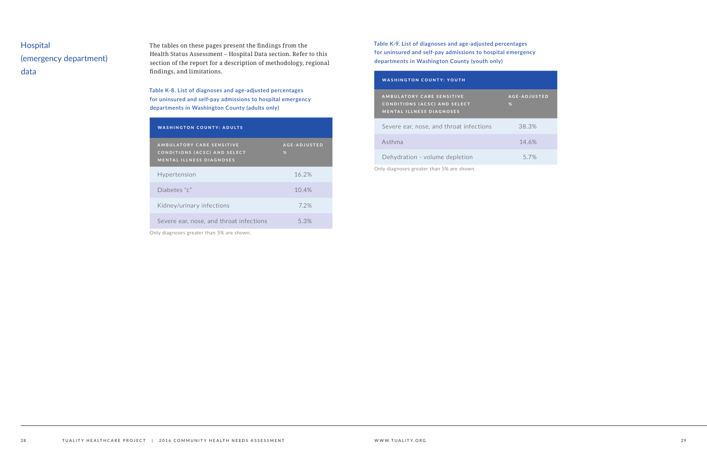# Hospital (emergency department) data

The tables on these pages present the findings from the Health Status Assessment – Hospital Data section. Refer to this section of the report for a description of methodology, regional findings, and limitations.

**Table K-8. List of diagnoses and age-adjusted percentages for uninsured and self-pay admissions to hospital emergency departments in Washington County (adults only)**

| <b>WASHINGTON COUNTY: ADULTS</b>                                                                                                                                                                                                                                                                                             |                   |
|------------------------------------------------------------------------------------------------------------------------------------------------------------------------------------------------------------------------------------------------------------------------------------------------------------------------------|-------------------|
| AMBULATORY CARE SENSITIVE<br><b>CONDITIONS (ACSC) AND SELECT</b><br><b>MENTAL ILLNESS DIAGNOSES</b>                                                                                                                                                                                                                          | AGE-ADJUSTED<br>% |
| Hypertension                                                                                                                                                                                                                                                                                                                 | 16.2%             |
| Diabetes "c"                                                                                                                                                                                                                                                                                                                 | 10.4%             |
| Kidney/urinary infections                                                                                                                                                                                                                                                                                                    | 7.2%              |
| Severe ear, nose, and throat infections                                                                                                                                                                                                                                                                                      | 5.3%              |
| $\sim$ 1 $\cdot$ 1 $\cdot$ 1 $\cdot$ 1 $\cdot$ 1 $\cdot$ 1 $\cdot$ 1 $\cdot$ 1 $\cdot$ 1 $\cdot$ 1 $\cdot$ 1 $\cdot$ 1 $\cdot$ 1 $\cdot$ 1 $\cdot$ 1 $\cdot$ 1 $\cdot$ 1 $\cdot$ 1 $\cdot$ 1 $\cdot$ 1 $\cdot$ 1 $\cdot$ 1 $\cdot$ 1 $\cdot$ 1 $\cdot$ 1 $\cdot$ 1 $\cdot$ 1 $\cdot$ 1 $\cdot$ 1 $\cdot$ 1 $\cdot$ 1 $\cdot$ |                   |

Only diagnoses greater than 5% are shown.

**Table K-9. List of diagnoses and age-adjusted percentages for uninsured and self-pay admissions to hospital emergency departments in Washington County (youth only)**

#### WASHINGTON COUNTY: YOUTH

| <b>WASHINGTON COUNTY: YOUTH</b>                                                                     |                          |
|-----------------------------------------------------------------------------------------------------|--------------------------|
| <b>AMBULATORY CARE SENSITIVE</b><br>CONDITIONS (ACSC) AND SELECT<br><b>MENTAL ILLNESS DIAGNOSES</b> | <b>AGE-ADJUSTED</b><br>% |
| Severe ear, nose, and throat infections                                                             | 38.3%                    |
| Asthma                                                                                              | 14.6%                    |
| Dehydration - volume depletion                                                                      | 5.7%                     |

Only diagnoses greater than 5% are shown.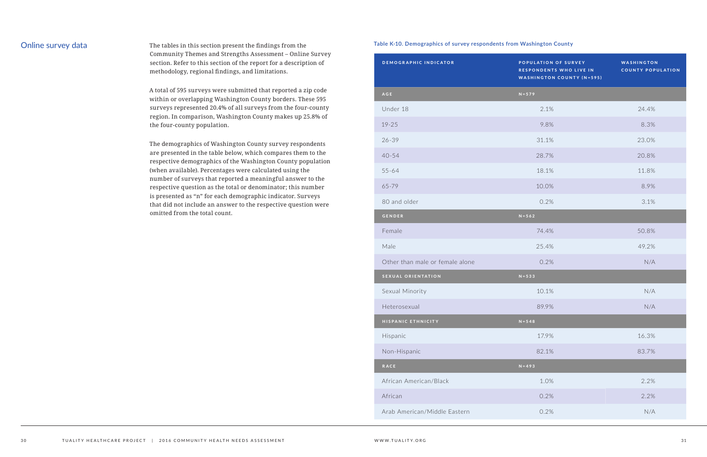Online survey data The tables in this section present the findings from the Community Themes and Strengths Assessment – Online Survey section. Refer to this section of the report for a description of methodology, regional findings, and limitations.

> A total of 595 surveys were submitted that reported a zip code within or overlapping Washington County borders. These 595 surveys represented 20.4% of all surveys from the four-county region. In comparison, Washington County makes up 25.8% of the four-county population.

> The demographics of Washington County survey respondents are presented in the table below, which compares them to the respective demographics of the Washington County population (when available). Percentages were calculated using the number of surveys that reported a meaningful answer to the respective question as the total or denominator; this number is presented as "n" for each demographic indicator. Surveys that did not include an answer to the respective question were omitted from the total count.

#### **Table K-10. Demographics of survey respondents from Washington County**

| <b>DEMOGRAPHIC INDICATOR</b>    | POPULATION OF SURVEY<br><b>RESPONDENTS WHO LIVE IN</b><br><b>WASHINGTON COUNTY (N=595)</b> | <b>WASHINGTON</b><br><b>COUNTY POPULATION</b> |
|---------------------------------|--------------------------------------------------------------------------------------------|-----------------------------------------------|
| AGE                             | $N = 579$                                                                                  |                                               |
| Under 18                        | 2.1%                                                                                       | 24.4%                                         |
| $19 - 25$                       | 9.8%                                                                                       | 8.3%                                          |
| $26 - 39$                       | 31.1%                                                                                      | 23.0%                                         |
| $40 - 54$                       | 28.7%                                                                                      | 20.8%                                         |
| $55 - 64$                       | 18.1%                                                                                      | 11.8%                                         |
| 65-79                           | 10.0%                                                                                      | 8.9%                                          |
| 80 and older                    | 0.2%                                                                                       | 3.1%                                          |
| <b>GENDER</b>                   | $N = 562$                                                                                  |                                               |
| Female                          | 74.4%                                                                                      | 50.8%                                         |
| Male                            | 25.4%                                                                                      | 49.2%                                         |
| Other than male or female alone | 0.2%                                                                                       | N/A                                           |
| <b>SEXUAL ORIENTATION</b>       | $N = 533$                                                                                  |                                               |
| Sexual Minority                 | 10.1%                                                                                      | N/A                                           |
| Heterosexual                    | 89.9%                                                                                      | N/A                                           |
| HISPANIC ETHNICITY              | $N = 548$                                                                                  |                                               |
| Hispanic                        | 17.9%                                                                                      | 16.3%                                         |
| Non-Hispanic                    | 82.1%                                                                                      | 83.7%                                         |
| RACE                            | $N = 493$                                                                                  |                                               |
| African American/Black          | 1.0%                                                                                       | 2.2%                                          |
| African                         | 0.2%                                                                                       | 2.2%                                          |
| Arab American/Middle Eastern    | 0.2%                                                                                       | N/A                                           |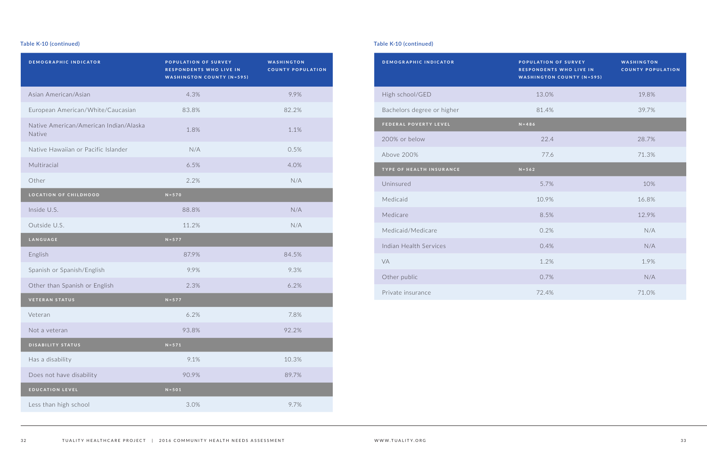| <b>DEMOGRAPHIC INDICATOR</b>                     | POPULATION OF SURVEY<br><b>RESPONDENTS WHO LIVE IN</b><br><b>WASHINGTON COUNTY (N=595)</b> | WASHINGTON<br><b>COUNTY POPULATION</b> |
|--------------------------------------------------|--------------------------------------------------------------------------------------------|----------------------------------------|
| Asian American/Asian                             | 4.3%                                                                                       | 9.9%                                   |
| European American/White/Caucasian                | 83.8%                                                                                      | 82.2%                                  |
| Native American/American Indian/Alaska<br>Native | 1.8%                                                                                       | 1.1%                                   |
| Native Hawaiian or Pacific Islander              | N/A                                                                                        | 0.5%                                   |
| Multiracial                                      | 6.5%                                                                                       | 4.0%                                   |
| Other                                            | 2.2%                                                                                       | N/A                                    |
| <b>LOCATION OF CHILDHOOD</b>                     | $N = 570$                                                                                  |                                        |
| Inside U.S.                                      | 88.8%                                                                                      | N/A                                    |
| Outside U.S.                                     | 11.2%                                                                                      | N/A                                    |
| <b>LANGUAGE</b>                                  | $N = 577$                                                                                  |                                        |
| English                                          | 87.9%                                                                                      | 84.5%                                  |
| Spanish or Spanish/English                       | 9.9%                                                                                       | 9.3%                                   |
| Other than Spanish or English                    | 2.3%                                                                                       | 6.2%                                   |
| <b>VETERAN STATUS</b>                            | $N = 577$                                                                                  |                                        |
| Veteran                                          | 6.2%                                                                                       | 7.8%                                   |
| Not a veteran                                    | 93.8%                                                                                      | 92.2%                                  |
| <b>DISABILITY STATUS</b>                         | $N = 571$                                                                                  |                                        |
| Has a disability                                 | 9.1%                                                                                       | 10.3%                                  |
| Does not have disability                         | 90.9%                                                                                      | 89.7%                                  |
| <b>EDUCATION LEVEL</b>                           | $N = 501$                                                                                  |                                        |
| Less than high school                            | 3.0%                                                                                       | 9.7%                                   |

| DEMOGRAPHIC INDICATOR      | POPULATION OF SURVEY<br>RESPONDENTS WHO LIVE IN<br><b>WASHINGTON COUNTY (N=595)</b> | <b>WASHINGTOI</b><br><b>COUNTY POP</b> |
|----------------------------|-------------------------------------------------------------------------------------|----------------------------------------|
| High school/GED            | 13.0%                                                                               | 19.8%                                  |
| Bachelors degree or higher | 81.4%                                                                               | 39.7%                                  |
| FEDERAL POVERTY LEVEL      | $N = 486$                                                                           |                                        |
| 200% or below              | 22.4                                                                                | 28.7%                                  |
| Above 200%                 | 77.6                                                                                | 71.3%                                  |
| TYPE OF HEALTH INSURANCE   | $N = 562$                                                                           |                                        |
| Uninsured                  | 5.7%                                                                                | 10%                                    |
| Medicaid                   | 10.9%                                                                               | 16.8%                                  |
| Medicare                   | 8.5%                                                                                | 12.9%                                  |
| Medicaid/Medicare          | 0.2%                                                                                | N/A                                    |
| Indian Health Services     | 0.4%                                                                                | N/A                                    |
| VA                         | 1.2%                                                                                | 1.9%                                   |
| Other public               | 0.7%                                                                                | N/A                                    |
| Private insurance          | 72.4%                                                                               | 71.0%                                  |

| <b>POPULATION OF SURVEY</b><br><b>RESPONDENTS WHO LIVE IN</b><br><b>WASHINGTON COUNTY (N=595)</b> | <b>WASHINGTON</b><br><b>COUNTY POPULATION</b> |
|---------------------------------------------------------------------------------------------------|-----------------------------------------------|
| 13.0%                                                                                             | 19.8%                                         |
| 81.4%                                                                                             | 39.7%                                         |
| $N = 486$                                                                                         |                                               |
| 22.4                                                                                              | 28.7%                                         |
| 77.6                                                                                              | 71.3%                                         |
| $N = 562$                                                                                         |                                               |
| 5.7%                                                                                              | 10%                                           |
| 10.9%                                                                                             | 16.8%                                         |
| 8.5%                                                                                              | 12.9%                                         |
| 0.2%                                                                                              | N/A                                           |
| 0.4%                                                                                              | N/A                                           |
| 1.2%                                                                                              | 1.9%                                          |
| 0.7%                                                                                              | N/A                                           |
| 72.4%                                                                                             | 71.0%                                         |

### **Table K-10 (continued) Table K-10 (continued)**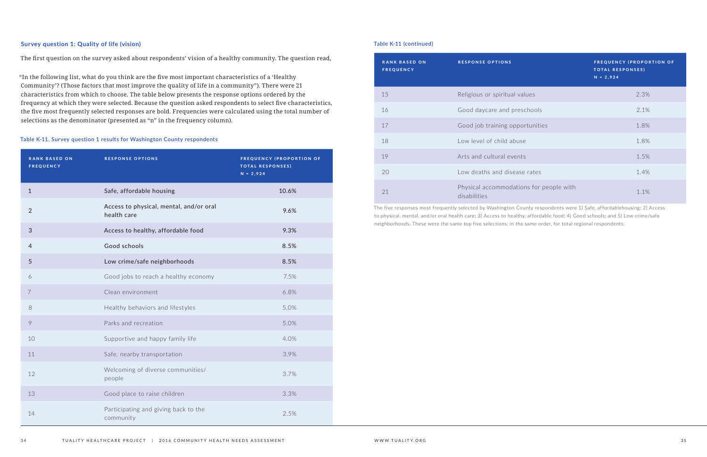#### **Survey question 1: Quality of life (vision)**

The first question on the survey asked about respondents' vision of a healthy community. The question read,

"In the following list, what do you think are the five most important characteristics of a 'Healthy Community'? (Those factors that most improve the quality of life in a community"). There were 21 characteristics from which to choose. The table below presents the response options ordered by the frequency at which they were selected. Because the question asked respondents to select five characteristics, the five most frequently selected responses are bold. Frequencies were calculated using the total number of selections as the denominator (presented as "n" in the frequency column).

#### **Table K-11. Survey question 1 results for Washington County respondents**

| <b>RANK BASED ON</b><br><b>FREQUENCY</b> | <b>RESPONSE OPTIONS</b>                                | <b>FREQUENCY (PROPORTION OF</b><br><b>TOTAL RESPONSES)</b><br>$N = 2,924$ |
|------------------------------------------|--------------------------------------------------------|---------------------------------------------------------------------------|
| $\mathbf{1}$                             | Safe, affordable housing                               | 10.6%                                                                     |
| $\overline{2}$                           | Access to physical, mental, and/or oral<br>health care | 9.6%                                                                      |
| $\mathfrak{S}$                           | Access to healthy, affordable food                     | 9.3%                                                                      |
| $\overline{4}$                           | Good schools                                           | 8.5%                                                                      |
| 5                                        | Low crime/safe neighborhoods                           | 8.5%                                                                      |
| 6                                        | Good jobs to reach a healthy economy                   | 7.5%                                                                      |
| 7                                        | Clean environment                                      | 6.8%                                                                      |
| $\,8\,$                                  | Healthy behaviors and lifestyles                       | 5.0%                                                                      |
| $\circ$                                  | Parks and recreation                                   | 5.0%                                                                      |
| 10                                       | Supportive and happy family life                       | 4.0%                                                                      |
| 11                                       | Safe, nearby transportation                            | 3.9%                                                                      |
| 12                                       | Welcoming of diverse communities/<br>people            | 3.7%                                                                      |
| 13                                       | Good place to raise children                           | 3.3%                                                                      |
| 14                                       | Participating and giving back to the<br>community      | 2.5%                                                                      |

| <b>RANK BASED ON</b><br><b>FREQUENCY</b> | <b>RESPONSE OPTIONS</b>                                 | <b>FREQUENCY (PROPORTION OF</b><br><b>TOTAL RESPONSES)</b><br>$N = 2,924$ |
|------------------------------------------|---------------------------------------------------------|---------------------------------------------------------------------------|
| 15                                       | Religious or spiritual values                           | 2.3%                                                                      |
| 16                                       | Good daycare and preschools                             | 2.1%                                                                      |
| 17                                       | Good job training opportunities                         | 1.8%                                                                      |
| 18                                       | Low level of child abuse                                | 1.8%                                                                      |
| 19                                       | Arts and cultural events                                | 1.5%                                                                      |
| 20                                       | Low deaths and disease rates                            | 1.4%                                                                      |
| 21                                       | Physical accommodations for people with<br>disabilities | 1.1%                                                                      |

The five responses most frequently selected by Washington County respondents were 1) Safe, affordablehousing; 2) Access to physical, mental, and/or oral health care; 3) Access to healthy, affordable food; 4) Good schools; and 5) Low crime/safe neighborhoods. These were the same top five selections, in the same order, for total regional respondents.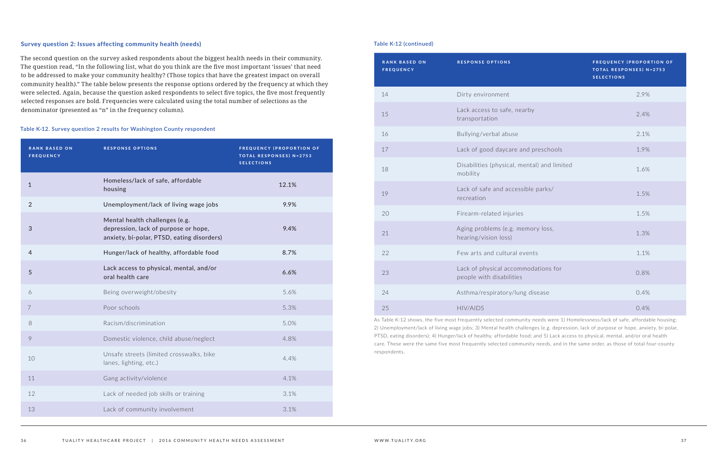#### **Survey question 2: Issues affecting community health (needs)**

The second question on the survey asked respondents about the biggest health needs in their community. The question read, "In the following list, what do you think are the five most important 'issues' that need to be addressed to make your community healthy? (Those topics that have the greatest impact on overall community health)." The table below presents the response options ordered by the frequency at which they were selected. Again, because the question asked respondents to select five topics, the five most frequently selected responses are bold. Frequencies were calculated using the total number of selections as the denominator (presented as "n" in the frequency column).

#### **Table K-12. Survey question 2 results for Washington County respondent**

| <b>RANK BASED ON</b><br><b>FREQUENCY</b> | <b>RESPONSE OPTIONS</b>                                                                                              | <b>FREQUENCY (PROPORTION OF</b><br><b>TOTAL RESPONSES) N=2753</b><br><b>SELECTIONS</b> |
|------------------------------------------|----------------------------------------------------------------------------------------------------------------------|----------------------------------------------------------------------------------------|
| $\mathbf 1$                              | Homeless/lack of safe, affordable<br>housing                                                                         | 12.1%                                                                                  |
| $\overline{2}$                           | Unemployment/lack of living wage jobs                                                                                | 9.9%                                                                                   |
| 3                                        | Mental health challenges (e.g.<br>depression, lack of purpose or hope,<br>anxiety, bi-polar, PTSD, eating disorders) | 9.4%                                                                                   |
| $\overline{4}$                           | Hunger/lack of healthy, affordable food                                                                              | 8.7%                                                                                   |
| 5                                        | Lack access to physical, mental, and/or<br>oral health care                                                          | 6.6%                                                                                   |
| 6                                        | Being overweight/obesity                                                                                             | 5.6%                                                                                   |
| 7                                        | Poor schools                                                                                                         | 5.3%                                                                                   |
| 8                                        | Racism/discrimination                                                                                                | 5.0%                                                                                   |
| 9                                        | Domestic violence, child abuse/neglect                                                                               | 4.8%                                                                                   |
| 10                                       | Unsafe streets (limited crosswalks, bike<br>lanes, lighting, etc.)                                                   | 4.4%                                                                                   |
| 11                                       | Gang activity/violence                                                                                               | 4.1%                                                                                   |
| 12                                       | Lack of needed job skills or training                                                                                | 3.1%                                                                                   |
| 13                                       | Lack of community involvement                                                                                        | 3.1%                                                                                   |

| <b>RANK BASED ON</b><br><b>FREQUENCY</b> | <b>RESPONSE OPTIONS</b>                                         | <b>FREQUENCY (PROPORTION OF</b><br><b>TOTAL RESPONSES) N=2753</b><br><b>SELECTIONS</b> |
|------------------------------------------|-----------------------------------------------------------------|----------------------------------------------------------------------------------------|
| 14                                       | Dirty environment                                               | 2.9%                                                                                   |
| 15                                       | Lack access to safe, nearby<br>transportation                   | 2.4%                                                                                   |
| 16                                       | Bullying/verbal abuse                                           | 2.1%                                                                                   |
| 17                                       | Lack of good daycare and preschools                             | 1.9%                                                                                   |
| 18                                       | Disabilities (physical, mental) and limited<br>mobility         | 1.6%                                                                                   |
| 19                                       | Lack of safe and accessible parks/<br>recreation                | 1.5%                                                                                   |
| 20                                       | Firearm-related injuries                                        | 1.5%                                                                                   |
| 21                                       | Aging problems (e.g. memory loss,<br>hearing/vision loss)       | 1.3%                                                                                   |
| 22                                       | Few arts and cultural events                                    | 1.1%                                                                                   |
| 23                                       | Lack of physical accommodations for<br>people with disabilities | 0.8%                                                                                   |
| 24                                       | Asthma/respiratory/lung disease                                 | 0.4%                                                                                   |
| 25                                       | <b>HIV/AIDS</b>                                                 | 0.4%                                                                                   |

As Table K-12 shows, the five most frequently selected community needs were 1) Homelessness/lack of safe, affordable housing; 2) Unemployment/lack of living wage jobs; 3) Mental health challenges (e.g. depression, lack of purpose or hope, anxiety, bi-polar, PTSD, eating disorders); 4) Hunger/lack of healthy, affordable food; and 5) Lack access to physical, mental, and/or oral health care. These were the same five most frequently selected community needs, and in the same order, as those of total four-county respondents.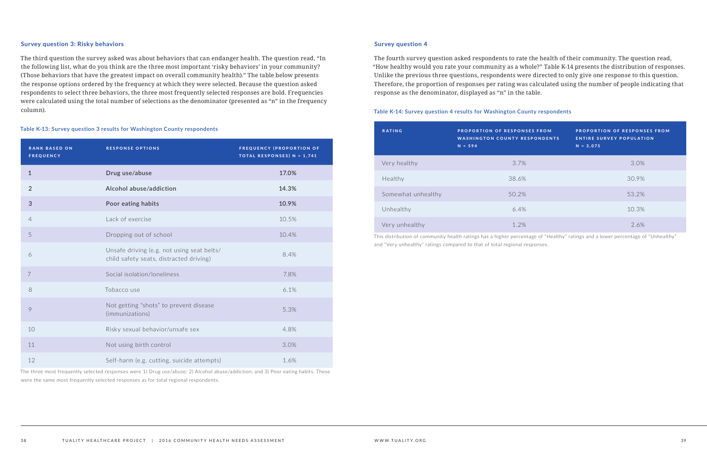#### **Survey question 3: Risky behaviors**

The third question the survey asked was about behaviors that can endanger health. The question read, "In the following list, what do you think are the three most important 'risky behaviors' in your community? (Those behaviors that have the greatest impact on overall community health)." The table below presents the response options ordered by the frequency at which they were selected. Because the question asked respondents to select three behaviors, the three most frequently selected responses are bold. Frequencies were calculated using the total number of selections as the denominator (presented as "n" in the frequency column).

#### **Table K-13: Survey question 3 results for Washington County respondents**

| <b>RANK BASED ON</b><br><b>FREQUENCY</b> | <b>RESPONSE OPTIONS</b>                                                               | <b>FREQUENCY (PROPORTION OF</b><br>TOTAL RESPONSES) N = 1,741 |
|------------------------------------------|---------------------------------------------------------------------------------------|---------------------------------------------------------------|
| 1                                        | Drug use/abuse                                                                        | 17.0%                                                         |
| $\overline{2}$                           | Alcohol abuse/addiction                                                               | 14.3%                                                         |
| $\mathfrak{S}$                           | Poor eating habits                                                                    | 10.9%                                                         |
| $\overline{4}$                           | Lack of exercise                                                                      | 10.5%                                                         |
| 5                                        | Dropping out of school                                                                | 10.4%                                                         |
| 6                                        | Unsafe driving (e.g. not using seat belts/<br>child safety seats, distracted driving) | 8.4%                                                          |
| $\overline{7}$                           | Social isolation/loneliness                                                           | 7.8%                                                          |
| 8                                        | Tobacco use                                                                           | 6.1%                                                          |
| 9                                        | Not getting "shots" to prevent disease<br>(immunizations)                             | 5.3%                                                          |
| 10                                       | Risky sexual behavior/unsafe sex                                                      | 4.8%                                                          |
| 11                                       | Not using birth control                                                               | 3.0%                                                          |
| 12                                       | Self-harm (e.g. cutting, suicide attempts)                                            | 1.6%                                                          |

The three most frequently selected responses were 1) Drug use/abuse; 2) Alcohol abuse/addiction; and 3) Poor eating habits. These were the same most frequently selected responses as for total regional respondents.

#### **Survey question 4**

The fourth survey question asked respondents to rate the health of their community. The question read, "How healthy would you rate your community as a whole?" Table K-14 presents the distribution of responses. Unlike the previous three questions, respondents were directed to only give one response to this question. Therefore, the proportion of responses per rating was calculated using the number of people indicating that response as the denominator, displayed as "n" in the table.

#### **Table K-14: Survey question 4 results for Washington County respondents**

| <b>RATING</b>      | <b>PROPORTION OF RESPONSES FROM</b><br><b>WASHINGTON COUNTY RESPONDENTS</b><br>$N = 594$ | <b>PROPORTION OF RESPONSES FROM</b><br><b>ENTIRE SURVEY POPULATION</b><br>$N = 3,075$ |
|--------------------|------------------------------------------------------------------------------------------|---------------------------------------------------------------------------------------|
| Very healthy       | 3.7%                                                                                     | 3.0%                                                                                  |
| Healthy            | 38.6%                                                                                    | 30.9%                                                                                 |
| Somewhat unhealthy | 50.2%                                                                                    | 53.2%                                                                                 |
| Unhealthy          | 6.4%                                                                                     | 10.3%                                                                                 |
| Very unhealthy     | 1.2%                                                                                     | 2.6%                                                                                  |

This distribution of community health ratings has a higher percentage of "Healthy" ratings and a lower percentage of "Unhealthy" and "Very unhealthy" ratings compared to that of total regional responses.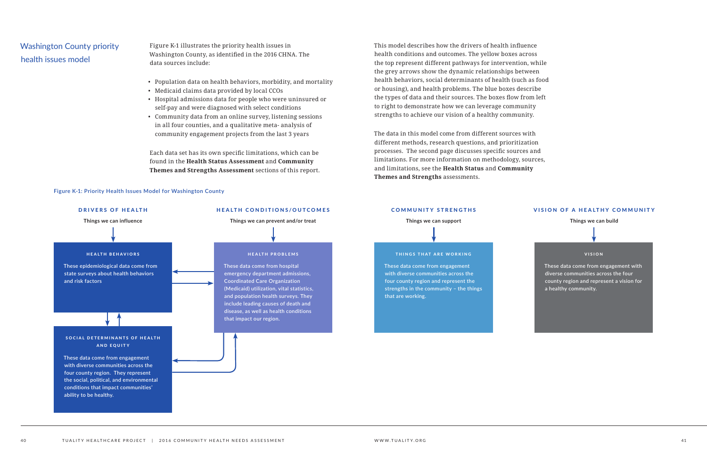# Washington County priority health issues model



- 
- 

VISION

**These data come from engagement with diverse communities across the four county region and represent a vision for a healthy community.**

#### VISION OF A HEALTHY COMMUNITY

#### **Things we can build**



Figure K-1 illustrates the priority health issues in Washington County, as identified in the 2016 CHNA. The data sources include:

- Population data on health behaviors, morbidity, and mortality
- Medicaid claims data provided by local CCOs
- Hospital admissions data for people who were uninsured or self-pay and were diagnosed with select conditions
- Community data from an online survey, listening sessions in all four counties, and a qualitative meta- analysis of community engagement projects from the last 3 years

Each data set has its own specific limitations, which can be found in the **Health Status Assessment** and **Community Themes and Strengths Assessment** sections of this report.

**Figure K-1: Priority Health Issues Model for Washington County**

This model describes how the drivers of health influence health conditions and outcomes. The yellow boxes across the top represent different pathways for intervention, while the grey arrows show the dynamic relationships between health behaviors, social determinants of health (such as food or housing), and health problems. The blue boxes describe the types of data and their sources. The boxes flow from left to right to demonstrate how we can leverage community strengths to achieve our vision of a healthy community.

The data in this model come from different sources with different methods, research questions, and prioritization processes. The second page discusses specific sources and limitations. For more information on methodology, sources, and limitations, see the **Health Status** and **Community Themes and Strengths** assessments.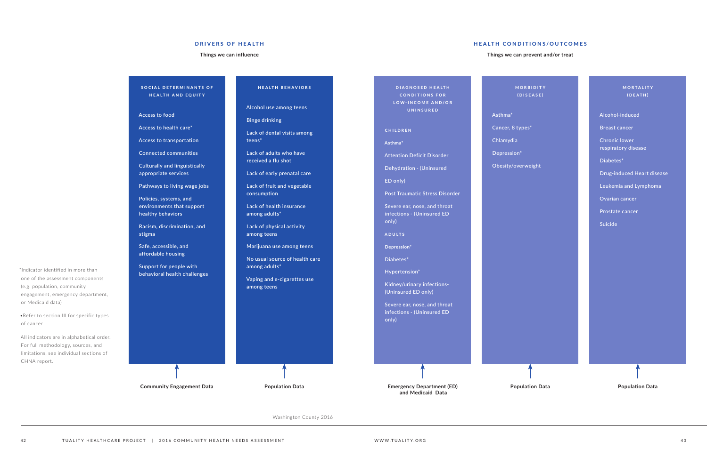DIAGNOSED HEALTH **CONDITIONS FOR** LOW-INCOME AND/OR UNINSURED

**Asthma\***

**Attention Deficit Disorder** 

**Dehydration - (Uninsured**

**ED only)**

**CHILDREN** 

**MORBIDITY** (DISEASE)

**Post Traumatic Stress Disorder**

**MORTALITY** (DEATH)

**Severe ear, nose, and throat infections - (Uninsured ED only)**

ADULTS

**Depression\*** 

**Diabetes\***

**Hypertension\***

**Kidney/urinary infections- (Uninsured ED only)**

SOCIAL DETERMINANTS OF HEALTH AND EQUITY

> **Severe ear, nose, and throat infections - (Uninsured ED only)**

**Asthma\*** 

**Cancer, 8 types\*** 

**Chlamydia** 

- **Depression\***
- 

**Obesity/overweight**

**Alcohol-induced** 

**Breast cancer** 

**Chronic lower respiratory disease**

**Diabetes\*** 

**Drug-induced Heart disease**

**Leukemia and Lymphoma**

**Ovarian cancer** 

**Prostate cancer** 

**Suicide**

#### HEALTH CONDITIONS/OUTCOMES

**Things we can prevent and/or treat**

**Access to food**

**Access to health care\*** 

**Access to transportation**

**Connected communities**

**Culturally and linguistically appropriate services**

**Pathways to living wage jobs**

**Policies, systems, and environments that support healthy behaviors**

**Racism, discrimination, and stigma**

**Safe, accessible, and affordable housing**

**Support for people with behavioral health challenges** HEALTH BEHAVIORS

**Alcohol use among teens**

**Binge drinking**

**Lack of dental visits among teens\***

> **Lack of adults who have received a flu shot**

> > **Lack of early prenatal care**

**Lack of fruit and vegetable consumption**

**Lack of health insurance among adults\***

**Lack of physical activity among teens**

**Marijuana use among teens**

**No usual source of health care among adults\***

**Vaping and e-cigarettes use among teens**

#### DRIVERS OF HEALTH

#### **Things we can influence**

**Community Engagement Data Population Data Emergency Department (ED) and Medicaid Data**

**Population Data Population Data**

\*Indicator identified in more than one of the assessment components (e.g. population, community

engagement, emergency department, or Medicaid data)

•Refer to section III for specific types of cancer

All indicators are in alphabetical order. For full methodology, sources, and limitations, see individual sections of CHNA report.

Washington County 2016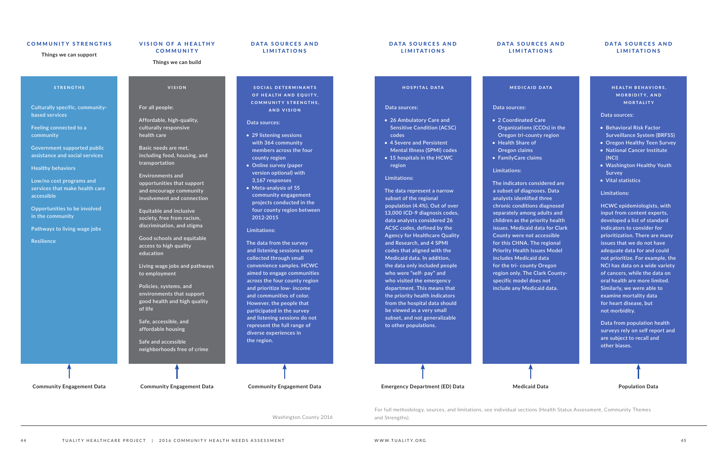#### STRENGTHS

**Culturally specific, communitybased services** 

**Feeling connected to a community**

**Government supported public assistance and social services**

**Healthy behaviors**

**Low/no cost programs and services that make health care accessible**

**Opportunities to be involved in the community**

**Pathways to living wage jobs**

**Resilience**

#### VISION

#### **For all people:**

**Affordable, high-quality, culturally responsive health care** 

**Basic needs are met, including food, housing, and transportation**

SOCIAL DETERMINANTS OF HEALTH AND EQUITY, **COMMUNITY STRENGTHS,** AND VISION

#### **Environments and opportunities that support and encourage community involvement and connection**

**Equitable and inclusive society, free from racism, discrimination, and stigma**

**Good schools and equitable access to high quality education**

**Living wage jobs and pathways to employment** 

**Policies, systems, and environments that support good health and high quality of life**

**Safe, accessible, and affordable housing**

**Safe and accessible neighborhoods free of crime**

#### **Data sources:**

- **• 29 listening sessions with 364 community members across the four county region**
- **• Online survey (paper version optional) with 3,167 responses**
- **• Meta-analysis of 55 community engagement projects conducted in the four county region between 2012-2015**

#### **Limitations:**

#### HEALTH BEHAVIORS, MORBIDITY, AND MORTALITY

**The data from the survey and listening sessions were collected through small convenience samples. HCWC aimed to engage communities across the four county region and prioritize low- income and communities of color. However, the people that participated in the survey and listening sessions do not represent the full range of diverse experiences in the region.**

Washington County 2016 and Strengths).

HOSPITAL DATA

**Data sources:**

**• 26 Ambulatory Care and Sensitive Condition (ACSC)** 

**codes**

**• 4 Severe and Persistent Mental Illness (SPMI) codes • 15 hospitals in the HCWC** 

**region**

**Limitations:**

**The data represent a narrow subset of the regional** 

#### DATA SOURCES AND LIMITATIONS

#### DATA SOURCES AND LIMITATIONS

#### DATA SOURCES AND LIMITATIONS

#### DATA SOURCES AND LIMITATIONS

**population (4.4%). Out of over 13,000 ICD-9 diagnosis codes, data analysts considered 26 ACSC codes, defined by the Agency for Healthcare Quality and Research, and 4 SPMI codes that aligned with the Medicaid data. In addition, the data only included people who were "self- pay" and who visited the emergency department. This means that the priority health indicators from the hospital data should be viewed as a very small subset, and not generalizable** 

**to other populations.**

#### MEDICAID DATA

#### **Data sources:**

- **• 2 Coordinated Care Organizations (CCOs) in the Oregon tri-county region • Health Share of Oregon claims • FamilyCare claims**
- -

#### **Limitations:**

**The indicators considered are a subset of diagnoses. Data analysts identified three chronic conditions diagnosed separately among adults and children as the priority health issues. Medicaid data for Clark County were not accessible for this CHNA. The regional Priority Health Issues Model includes Medicaid data for the tri- county Oregon region only. The Clark Countyspecific model does not include any Medicaid data.**

#### **Data sources:**

- **• Behavioral Risk Factor Surveillance System (BRFSS)**
- **• Oregon Healthy Teen Survey**
- **• National Cancer Institute (NCI)**
- **• Washington Healthy Youth Survey**
- **• Vital statistics**

#### **Limitations:**

**HCWC epidemiologists, with input from content experts, developed a list of standard indicators to consider for prioritization. There are many issues that we do not have adequate data for and could not prioritize. For example, the NCI has data on a wide variety of cancers, while the data on oral health are more limited. Similarly, we were able to examine mortality data for heart disease, but not morbidity.**

**Data from population health surveys rely on self report and are subject to recall and other biases.**



#### COMMUNITY STRENGTHS

**Things we can support**

### VISION OF A HEALTHY **COMMUNITY**

#### **Things we can build**

**Community Engagement Data Community Engagement Data Community Engagement Data Emergency Department (ED) Data Medicaid Data Population Data**

For full methodology, sources, and limitations, see individual sections (Health Status Assessment, Community Themes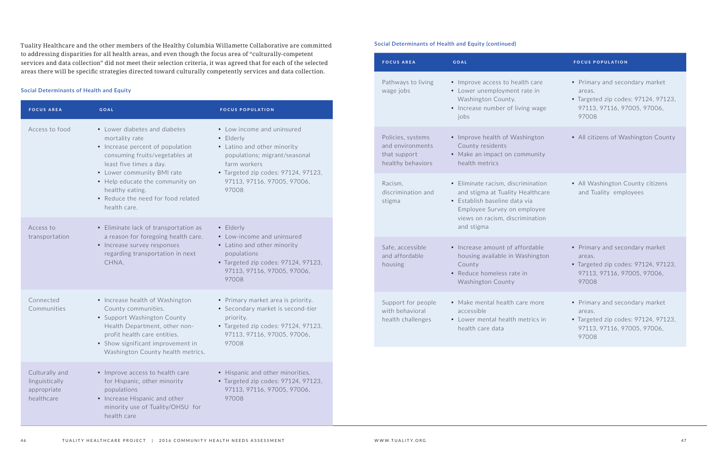Tuality Healthcare and the other members of the Healthy Columbia Willamette Collaborative are committed to addressing disparities for all health areas, and even though the focus area of "culturally-competent services and data collection" did not meet their selection criteria, it was agreed that for each of the selected areas there will be specific strategies directed toward culturally competently services and data collection.

#### **Social Determinants of Health and Equity**

| <b>FOCUS AREA</b>                                             | <b>GOAL</b>                                                                                                                                                                                                                                                                                | <b>FOCUS POPULATION</b>                                                                                                                                                                                |
|---------------------------------------------------------------|--------------------------------------------------------------------------------------------------------------------------------------------------------------------------------------------------------------------------------------------------------------------------------------------|--------------------------------------------------------------------------------------------------------------------------------------------------------------------------------------------------------|
| Access to food                                                | • Lower diabetes and diabetes<br>mortality rate<br>• Increase percent of population<br>consuming fruits/vegetables at<br>least five times a day.<br>• Lower community BMI rate<br>• Help educate the community on<br>healthy eating.<br>• Reduce the need for food related<br>health care. | • Low income and uninsured<br>• Elderly<br>• Latino and other minority<br>populations; migrant/seasonal<br>farm workers<br>• Targeted zip codes: 97124, 97123,<br>97113, 97116, 97005, 97006,<br>97008 |
| Access to<br>transportation                                   | • Eliminate lack of transportation as<br>a reason for foregoing health care.<br>• Increase survey responses<br>regarding transportation in next<br>CHNA.                                                                                                                                   | • Elderly<br>• Low-income and uninsured<br>• Latino and other minority<br>populations<br>• Targeted zip codes: 97124, 97123,<br>97113, 97116, 97005, 97006,<br>97008                                   |
| Connected<br>Communities                                      | • Increase health of Washington<br>County communities.<br>• Support Washington County<br>Health Department, other non-<br>profit health care entities.<br>• Show significant improvement in<br>Washington County health metrics.                                                           | • Primary market area is priority.<br>• Secondary market is second-tier<br>priority.<br>• Targeted zip codes: 97124, 97123,<br>97113, 97116, 97005, 97006,<br>97008                                    |
| Culturally and<br>linguistically<br>appropriate<br>healthcare | • Improve access to health care<br>for Hispanic, other minority<br>populations<br>• Increase Hispanic and other<br>minority use of Tuality/OHSU for<br>health care                                                                                                                         | • Hispanic and other minorities.<br>• Targeted zip codes: 97124, 97123,<br>97113, 97116, 97005, 97006,<br>97008                                                                                        |

| <b>FOCUS AREA</b>                                                          | <b>GOAL</b>                                                                                                                                                                             | <b>FOCUS POPULATION</b>                                                                                                 |
|----------------------------------------------------------------------------|-----------------------------------------------------------------------------------------------------------------------------------------------------------------------------------------|-------------------------------------------------------------------------------------------------------------------------|
| Pathways to living<br>wage jobs                                            | • Improve access to health care<br>• Lower unemployment rate in<br>Washington County.<br>• Increase number of living wage<br>jobs                                                       | • Primary and secondary market<br>areas.<br>• Targeted zip codes: 97124, 97123,<br>97113, 97116, 97005, 97006,<br>97008 |
| Policies, systems<br>and environments<br>that support<br>healthy behaviors | • Improve health of Washington<br>County residents<br>• Make an impact on community<br>health metrics                                                                                   | • All citizens of Washington County                                                                                     |
| Racism,<br>discrimination and<br>stigma                                    | • Eliminate racism, discrimination<br>and stigma at Tuality Healthcare<br>• Establish baseline data via<br>Employee Survey on employee<br>views on racism, discrimination<br>and stigma | • All Washington County citizens<br>and Tuality employees                                                               |
| Safe, accessible<br>and affordable<br>housing                              | • Increase amount of affordable<br>housing available in Washington<br>County<br>• Reduce homeless rate in<br>Washington County                                                          | • Primary and secondary market<br>areas.<br>• Targeted zip codes: 97124, 97123,<br>97113, 97116, 97005, 97006,<br>97008 |
| Support for people<br>with behavioral<br>health challenges                 | • Make mental health care more<br>accessible<br>• Lower mental health metrics in<br>health care data                                                                                    | • Primary and secondary market<br>areas.<br>• Targeted zip codes: 97124, 97123,<br>97113, 97116, 97005, 97006,<br>97008 |

#### **Social Determinants of Health and Equity (continued)**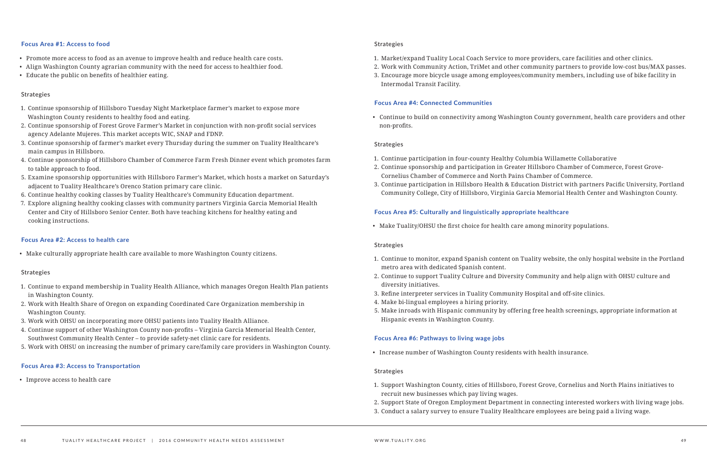#### **Focus Area #1: Access to food**

- Promote more access to food as an avenue to improve health and reduce health care costs.
- Align Washington County agrarian community with the need for access to healthier food.
- Educate the public on benefits of healthier eating.

#### Strategies

- 1. Continue sponsorship of Hillsboro Tuesday Night Marketplace farmer's market to expose more Washington County residents to healthy food and eating.
- 2. Continue sponsorship of Forest Grove Farmer's Market in conjunction with non-profit social services agency Adelante Mujeres. This market accepts WIC, SNAP and FDNP.
- 3. Continue sponsorship of farmer's market every Thursday during the summer on Tuality Healthcare's main campus in Hillsboro.
- 4. Continue sponsorship of Hillsboro Chamber of Commerce Farm Fresh Dinner event which promotes farm to table approach to food.
- 5. Examine sponsorship opportunities with Hillsboro Farmer's Market, which hosts a market on Saturday's adjacent to Tuality Healthcare's Orenco Station primary care clinic.
- 6. Continue healthy cooking classes by Tuality Healthcare's Community Education department.
- 7. Explore aligning healthy cooking classes with community partners Virginia Garcia Memorial Health Center and City of Hillsboro Senior Center. Both have teaching kitchens for healthy eating and cooking instructions.

#### **Focus Area #2: Access to health care**

• Make culturally appropriate health care available to more Washington County citizens.

#### **Strategies**

- 1. Continue to expand membership in Tuality Health Alliance, which manages Oregon Health Plan patients in Washington County.
- 2. Work with Health Share of Oregon on expanding Coordinated Care Organization membership in Washington County.
- 3. Work with OHSU on incorporating more OHSU patients into Tuality Health Alliance.
- 4. Continue support of other Washington County non-profits Virginia Garcia Memorial Health Center, Southwest Community Health Center – to provide safety-net clinic care for residents.
- 5. Work with OHSU on increasing the number of primary care/family care providers in Washington County.

#### **Focus Area #3: Access to Transportation**

• Improve access to health care

#### Strategies

- 1. Market/expand Tuality Local Coach Service to more providers, care facilities and other clinics.
- 
- Intermodal Transit Facility.

2. Work with Community Action, TriMet and other community partners to provide low-cost bus/MAX passes. 3. Encourage more bicycle usage among employees/community members, including use of bike facility in

#### **Focus Area #4: Connected Communities**

• Continue to build on connectivity among Washington County government, health care providers and other

non-profits.

#### Strategies

- 1. Continue participation in four-county Healthy Columbia Willamette Collaborative
- 2. Continue sponsorship and participation in Greater Hillsboro Chamber of Commerce, Forest Grove-Cornelius Chamber of Commerce and North Pains Chamber of Commerce.
- 3. Continue participation in Hillsboro Health & Education District with partners Pacific University, Portland Community College, City of Hillsboro, Virginia Garcia Memorial Health Center and Washington County.

### **Focus Area #5: Culturally and linguistically appropriate healthcare**

• Make Tuality/OHSU the first choice for health care among minority populations.

#### Strategies

- 1. Continue to monitor, expand Spanish content on Tuality website, the only hospital website in the Portland metro area with dedicated Spanish content.
- 2. Continue to support Tuality Culture and Diversity Community and help align with OHSU culture and diversity initiatives.
- 3. Refine interpreter services in Tuality Community Hospital and off-site clinics.
- 4. Make bi-lingual employees a hiring priority.
- 5. Make inroads with Hispanic community by offering free health screenings, appropriate information at Hispanic events in Washington County.

#### **Focus Area #6: Pathways to living wage jobs**

• Increase number of Washington County residents with health insurance.

#### Strategies

1. Support Washington County, cities of Hillsboro, Forest Grove, Cornelius and North Plains initiatives to

2. Support State of Oregon Employment Department in connecting interested workers with living wage jobs.

- recruit new businesses which pay living wages.
- 
- 3. Conduct a salary survey to ensure Tuality Healthcare employees are being paid a living wage.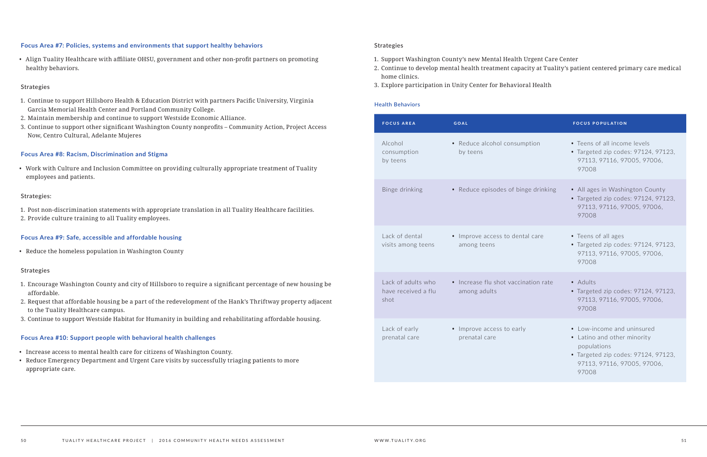#### **Focus Area #7: Policies, systems and environments that support healthy behaviors**

• Align Tuality Healthcare with affiliate OHSU, government and other non-profit partners on promoting healthy behaviors.

#### Strategies

- 1. Continue to support Hillsboro Health & Education District with partners Pacific University, Virginia Garcia Memorial Health Center and Portland Community College.
- 2. Maintain membership and continue to support Westside Economic Alliance.
- 3. Continue to support other significant Washington County nonprofits Community Action, Project Access Now, Centro Cultural, Adelante Mujeres

### **Focus Area #8: Racism, Discrimination and Stigma**

• Work with Culture and Inclusion Committee on providing culturally appropriate treatment of Tuality employees and patients.

#### Strategies:

- 1. Post non-discrimination statements with appropriate translation in all Tuality Healthcare facilities.
- 2. Provide culture training to all Tuality employees.

### **Focus Area #9: Safe, accessible and affordable housing**

• Reduce the homeless population in Washington County

### Strategies

- 1. Encourage Washington County and city of Hillsboro to require a significant percentage of new housing be affordable.
- 2. Request that affordable housing be a part of the redevelopment of the Hank's Thriftway property adjacent to the Tuality Healthcare campus.
- 3. Continue to support Westside Habitat for Humanity in building and rehabilitating affordable housing.

### **Focus Area #10: Support people with behavioral health challenges**

- Increase access to mental health care for citizens of Washington County.
- Reduce Emergency Department and Urgent Care visits by successfully triaging patients to more appropriate care.

#### Strategies

# 2. Continue to develop mental health treatment capacity at Tuality's patient centered primary care medical

- 1. Support Washington County's new Mental Health Urgent Care Center
- home clinics.
- 3. Explore participation in Unity Center for Behavioral Health

### **Health Behaviors**

| <b>FOCUS AREA</b>                                 | <b>GOAL</b>                                          | <b>FOCUS POPULATION</b>                                                                                                                                 |
|---------------------------------------------------|------------------------------------------------------|---------------------------------------------------------------------------------------------------------------------------------------------------------|
| Alcohol<br>consumption<br>by teens                | • Reduce alcohol consumption<br>by teens             | • Teens of all income levels<br>• Targeted zip codes: 97124, 97123,<br>97113, 97116, 97005, 97006,<br>97008                                             |
| Binge drinking                                    | • Reduce episodes of binge drinking                  | • All ages in Washington County<br>• Targeted zip codes: 97124, 97123,<br>97113, 97116, 97005, 97006,<br>97008                                          |
| Lack of dental<br>visits among teens              | • Improve access to dental care<br>among teens       | • Teens of all ages<br>• Targeted zip codes: 97124, 97123,<br>97113, 97116, 97005, 97006,<br>97008                                                      |
| Lack of adults who<br>have received a flu<br>shot | • Increase flu shot vaccination rate<br>among adults | • Adults<br>• Targeted zip codes: 97124, 97123,<br>97113, 97116, 97005, 97006,<br>97008                                                                 |
| Lack of early<br>prenatal care                    | • Improve access to early<br>prenatal care           | • Low-income and uninsured<br>• Latino and other minority<br>populations<br>• Targeted zip codes: 97124, 97123,<br>97113, 97116, 97005, 97006,<br>97008 |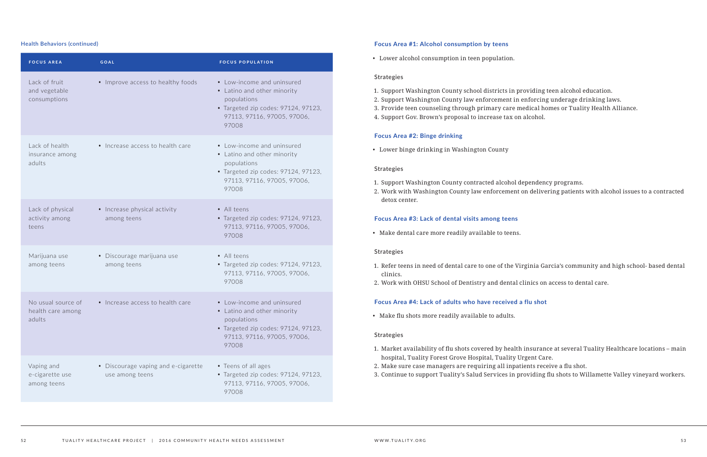| <b>FOCUS AREA</b>                                 | <b>GOAL</b>                                            | <b>FOCUS POPULATION</b>                                                                                                                                 |
|---------------------------------------------------|--------------------------------------------------------|---------------------------------------------------------------------------------------------------------------------------------------------------------|
| Lack of fruit<br>and vegetable<br>consumptions    | • Improve access to healthy foods                      | • Low-income and uninsured<br>• Latino and other minority<br>populations<br>• Targeted zip codes: 97124, 97123,<br>97113, 97116, 97005, 97006,<br>97008 |
| Lack of health<br>insurance among<br>adults       | • Increase access to health care                       | • Low-income and uninsured<br>• Latino and other minority<br>populations<br>• Targeted zip codes: 97124, 97123,<br>97113, 97116, 97005, 97006,<br>97008 |
| Lack of physical<br>activity among<br>teens       | • Increase physical activity<br>among teens            | • All teens<br>• Targeted zip codes: 97124, 97123,<br>97113, 97116, 97005, 97006,<br>97008                                                              |
| Marijuana use<br>among teens                      | • Discourage marijuana use<br>among teens              | · All teens<br>• Targeted zip codes: 97124, 97123,<br>97113, 97116, 97005, 97006,<br>97008                                                              |
| No usual source of<br>health care among<br>adults | • Increase access to health care                       | • Low-income and uninsured<br>• Latino and other minority<br>populations<br>• Targeted zip codes: 97124, 97123,<br>97113, 97116, 97005, 97006,<br>97008 |
| Vaping and<br>e-cigarette use<br>among teens      | • Discourage vaping and e-cigarette<br>use among teens | • Teens of all ages<br>• Targeted zip codes: 97124, 97123,<br>97113, 97116, 97005, 97006,<br>97008                                                      |

#### **Focus Area #1: Alcohol consumption by teens**

• Lower alcohol consumption in teen population.

#### Strategies

- 1. Support Washington County school districts in providing teen alcohol education.
- 2. Support Washington County law enforcement in enforcing underage drinking laws.
- 3. Provide teen counseling through primary care medical homes or Tuality Health Alliance.
- 4. Support Gov. Brown's proposal to increase tax on alcohol.

#### **Focus Area #2: Binge drinking**

• Lower binge drinking in Washington County

#### Strategies

- 1. Support Washington County contracted alcohol dependency programs.
- detox center.

2. Work with Washington County law enforcement on delivering patients with alcohol issues to a contracted

#### **Focus Area #3: Lack of dental visits among teens**

• Make dental care more readily available to teens.

#### Strategies

1. Refer teens in need of dental care to one of the Virginia Garcia's community and high school- based dental

- clinics.
- 2. Work with OHSU School of Dentistry and dental clinics on access to dental care.

### **Focus Area #4: Lack of adults who have received a flu shot**

• Make flu shots more readily available to adults.

#### Strategies

1. Market availability of flu shots covered by health insurance at several Tuality Healthcare locations – main

- hospital, Tuality Forest Grove Hospital, Tuality Urgent Care.
- 2. Make sure case managers are requiring all inpatients receive a flu shot.
- 3. Continue to support Tuality's Salud Services in providing flu shots to Willamette Valley vineyard workers.

#### **Health Behaviors (continued)**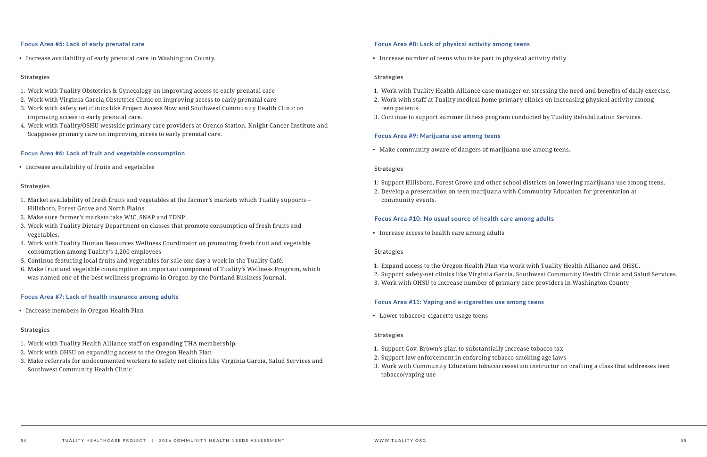#### **Focus Area #5: Lack of early prenatal care**

• Increase availability of early prenatal care in Washington County.

#### Strategies

- 1. Work with Tuality Obstetrics & Gynecology on improving access to early prenatal care
- 2. Work with Virginia Garcia Obstetrics Clinic on improving access to early prenatal care
- 3. Work with safety net clinics like Project Access Now and Southwest Community Health Clinic on improving access to early prenatal care.
- 4. Work with Tuality/OSHU westside primary care providers at Orenco Station, Knight Cancer Institute and Scappoose primary care on improving access to early prenatal care.

#### **Focus Area #6: Lack of fruit and vegetable consumption**

• Increase availability of fruits and vegetables

#### Strategies

- 1. Market availability of fresh fruits and vegetables at the farmer's markets which Tuality supports Hillsboro, Forest Grove and North Plains
- 2. Make sure farmer's markets take WIC, SNAP and FDNP
- 3. Work with Tuality Dietary Department on classes that promote consumption of fresh fruits and vegetables.
- 4. Work with Tuality Human Resources Wellness Coordinator on promoting fresh fruit and vegetable consumption among Tuality's 1,200 employees
- 5. Continue featuring local fruits and vegetables for sale one day a week in the Tuality Café.
- 6. Make fruit and vegetable consumption an important component of Tuality's Wellness Program, which was named one of the best wellness programs in Oregon by the Portland Business Journal.

#### **Focus Area #7: Lack of health insurance among adults**

• Increase members in Oregon Health Plan

#### Strategies

- 1. Work with Tuality Health Alliance staff on expanding THA membership.
- 2. Work with OHSU on expanding access to the Oregon Health Plan
- 3. Make referrals for undocumented workers to safety net clinics like Virginia Garcia, Salud Services and Southwest Community Health Clinic

#### **Focus Area #8: Lack of physical activity among teens**

• Increase number of teens who take part in physical activity daily

#### Strategies

1. Work with Tuality Health Alliance case manager on stressing the need and benefits of daily exercise.

- 
- 2. Work with staff at Tuality medical home primary clinics on increasing physical activity among teen patients.
- 3. Continue to support summer fitness program conducted by Tuality Rehabilitation Services.

#### **Focus Area #9: Marijuana use among teens**

• Make community aware of dangers of marijuana use among teens.

#### Strategies

- 1. Support Hillsboro, Forest Grove and other school districts on lowering marijuana use among teens.
- 2. Develop a presentation on teen marijuana with Community Education for presentation at community events.

#### **Focus Area #10: No usual source of health care among adults**

• Increase access to health care among adults

#### Strategies

- 1. Expand access to the Oregon Health Plan via work with Tuality Health Alliance and OHSU.
- 
- 3. Work with OHSU to increase number of primary care providers in Washington County

2. Support safety-net clinics like Virginia Garcia, Southwest Community Health Clinic and Salud Services.

#### **Focus Area #11: Vaping and e-cigarettes use among teens**

• Lower tobacco/e-cigarette usage teens

#### Strategies

- 1. Support Gov. Brown's plan to substantially increase tobacco tax
- 2. Support law enforcement in enforcing tobacco smoking age laws
- tobacco/vaping use

3. Work with Community Education tobacco cessation instructor on crafting a class that addresses teen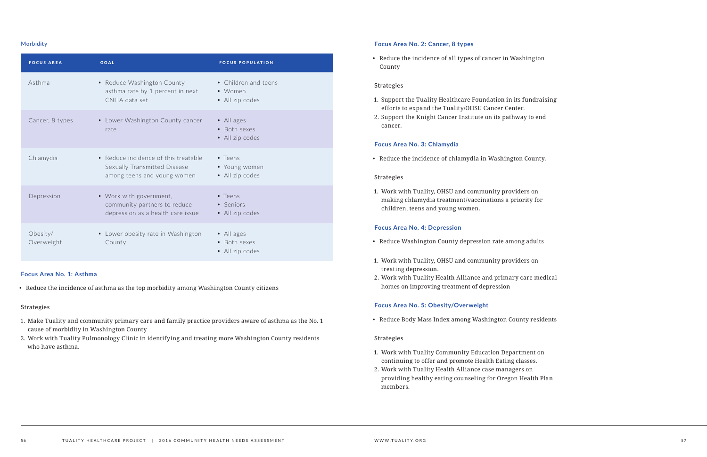#### **Morbidity**

| <b>FOCUS AREA</b>      | <b>GOAL</b>                                                                                         | <b>FOCUS POPULATION</b>                             |
|------------------------|-----------------------------------------------------------------------------------------------------|-----------------------------------------------------|
| Asthma                 | • Reduce Washington County<br>asthma rate by 1 percent in next<br>CNHA data set                     | • Children and teens<br>• Women<br>• All zip codes  |
| Cancer, 8 types        | • Lower Washington County cancer<br>rate                                                            | • All ages<br>• Both sexes<br>• All zip codes       |
| Chlamydia              | • Reduce incidence of this treatable<br>Sexually Transmitted Disease<br>among teens and young women | $\bullet$ Teens<br>• Young women<br>• All zip codes |
| Depression             | • Work with government,<br>community partners to reduce<br>depression as a health care issue        | $\bullet$ Teens<br>• Seniors<br>• All zip codes     |
| Obesity/<br>Overweight | • Lower obesity rate in Washington<br>County                                                        | · All ages<br>• Both sexes<br>· All zip codes       |

#### **Focus Area No. 1: Asthma**

• Reduce the incidence of asthma as the top morbidity among Washington County citizens

#### Strategies

- 1. Make Tuality and community primary care and family practice providers aware of asthma as the No. 1 cause of morbidity in Washington County
- 2. Work with Tuality Pulmonology Clinic in identifying and treating more Washington County residents who have asthma.

### **Focus Area No. 2: Cancer, 8 types**

• Reduce the incidence of all types of cancer in Washington County

#### Strategies

- 1. Support the Tuality Healthcare Foundation in its fundraising efforts to expand the Tuality/OHSU Cancer Center.
- 2. Support the Knight Cancer Institute on its pathway to end cancer.

#### **Focus Area No. 3: Chlamydia**

• Reduce the incidence of chlamydia in Washington County.

#### Strategies

1. Work with Tuality, OHSU and community providers on making chlamydia treatment/vaccinations a priority for children, teens and young women.

#### **Focus Area No. 4: Depression**

- Reduce Washington County depression rate among adults
- 1. Work with Tuality, OHSU and community providers on treating depression.
- 2. Work with Tuality Health Alliance and primary care medical homes on improving treatment of depression

#### **Focus Area No. 5: Obesity/Overweight**

• Reduce Body Mass Index among Washington County residents

#### Strategies

- 1. Work with Tuality Community Education Department on continuing to offer and promote Health Eating classes.
- 2. Work with Tuality Health Alliance case managers on providing healthy eating counseling for Oregon Health Plan members.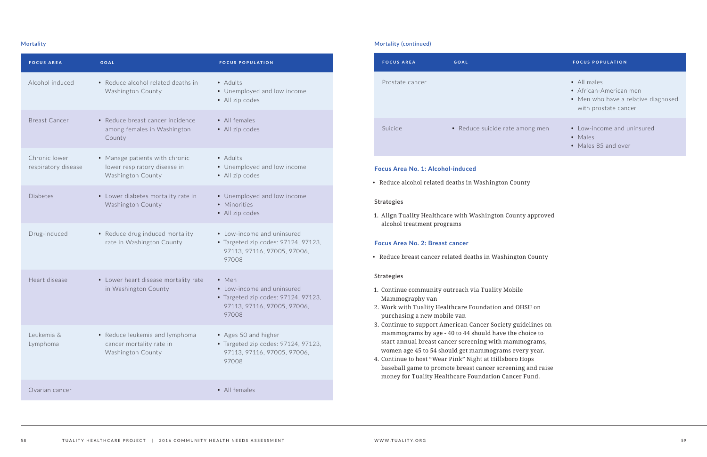#### **Mortality**

| <b>FOCUS AREA</b>                    | <b>GOAL</b>                                                                         | <b>FOCUS POPULATION</b>                                                                                                    |
|--------------------------------------|-------------------------------------------------------------------------------------|----------------------------------------------------------------------------------------------------------------------------|
| Alcohol induced                      | • Reduce alcohol related deaths in<br>Washington County                             | • Adults<br>• Unemployed and low income<br>• All zip codes                                                                 |
| <b>Breast Cancer</b>                 | • Reduce breast cancer incidence<br>among females in Washington<br>County           | • All females<br>• All zip codes                                                                                           |
| Chronic lower<br>respiratory disease | • Manage patients with chronic<br>lower respiratory disease in<br>Washington County | • Adults<br>• Unemployed and low income<br>• All zip codes                                                                 |
| <b>Diabetes</b>                      | • Lower diabetes mortality rate in<br>Washington County                             | • Unemployed and low income<br>• Minorities<br>• All zip codes                                                             |
| Drug-induced                         | • Reduce drug induced mortality<br>rate in Washington County                        | • Low-income and uninsured<br>• Targeted zip codes: 97124, 97123,<br>97113, 97116, 97005, 97006,<br>97008                  |
| Heart disease                        | • Lower heart disease mortality rate<br>in Washington County                        | $\bullet$ Men<br>• Low-income and uninsured<br>• Targeted zip codes: 97124, 97123,<br>97113, 97116, 97005, 97006,<br>97008 |
| Leukemia &<br>Lymphoma               | • Reduce leukemia and lymphoma<br>cancer mortality rate in<br>Washington County     | • Ages 50 and higher<br>• Targeted zip codes: 97124, 97123,<br>97113, 97116, 97005, 97006,<br>97008                        |
| Ovarian cancer                       |                                                                                     | • All females                                                                                                              |

| <b>FOCUS AREA</b> | <b>GOAL</b>                     | <b>FOCUS POPULATION</b>                                                                       |
|-------------------|---------------------------------|-----------------------------------------------------------------------------------------------|
| Prostate cancer   |                                 | • All males<br>• African-American men<br>• Men who have a relative di<br>with prostate cancer |
| Suicide           | • Reduce suicide rate among men | • Low-income and uninsured<br>$\bullet$ Males<br>• Males 85 and over                          |

|          | • All males<br>• African-American men<br>• Men who have a relative diagnosed<br>with prostate cancer |
|----------|------------------------------------------------------------------------------------------------------|
| mong men | • Low-income and uninsured<br>• Males<br>• Males 85 and over                                         |

#### **Focus Area No. 1: Alcohol-induced**

• Reduce alcohol related deaths in Washington County

#### Strategies

1. Align Tuality Healthcare with Washington County approved alcohol treatment programs

#### **Focus Area No. 2: Breast cancer**

• Reduce breast cancer related deaths in Washington County

#### Strategies

- 1. Continue community outreach via Tuality Mobile Mammography van
- 2. Work with Tuality Healthcare Foundation and OHSU on purchasing a new mobile van
- 3. Continue to support American Cancer Society guidelines on mammograms by age - 40 to 44 should have the choice to start annual breast cancer screening with mammograms, women age 45 to 54 should get mammograms every year.
- 4. Continue to host "Wear Pink" Night at Hillsboro Hops baseball game to promote breast cancer screening and raise money for Tuality Healthcare Foundation Cancer Fund.

#### **FOCUS POPULATION**

#### **Mortality (continued)**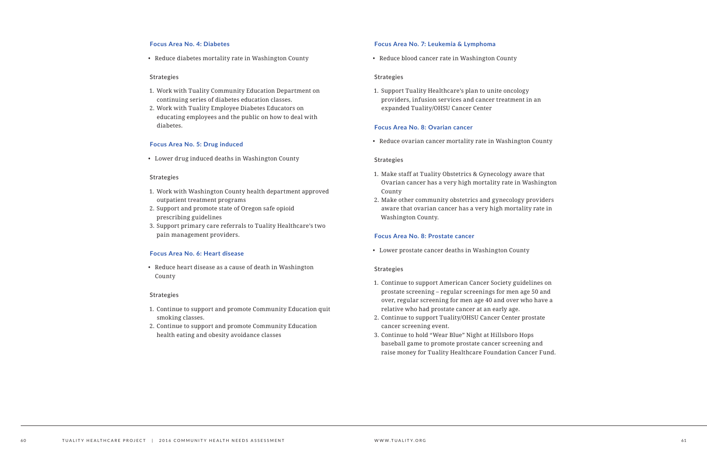#### **Focus Area No. 4: Diabetes**

• Reduce diabetes mortality rate in Washington County

#### Strategies

- 1. Work with Tuality Community Education Department on continuing series of diabetes education classes.
- 2. Work with Tuality Employee Diabetes Educators on educating employees and the public on how to deal with diabetes.

#### **Focus Area No. 5: Drug induced**

• Lower drug induced deaths in Washington County

#### Strategies

- 1. Work with Washington County health department approved outpatient treatment programs
- 2. Support and promote state of Oregon safe opioid prescribing guidelines
- 3. Support primary care referrals to Tuality Healthcare's two pain management providers.

#### **Focus Area No. 6: Heart disease**

• Reduce heart disease as a cause of death in Washington County

#### Strategies

- 1. Continue to support and promote Community Education quit smoking classes.
- 2. Continue to support and promote Community Education health eating and obesity avoidance classes

#### **Focus Area No. 7: Leukemia & Lymphoma**

• Reduce blood cancer rate in Washington County

#### Strategies

1. Support Tuality Healthcare's plan to unite oncology providers, infusion services and cancer treatment in an expanded Tuality/OHSU Cancer Center

#### **Focus Area No. 8: Ovarian cancer**

• Reduce ovarian cancer mortality rate in Washington County

#### Strategies

- 1. Make staff at Tuality Obstetrics & Gynecology aware that Ovarian cancer has a very high mortality rate in Washington County
- 2. Make other community obstetrics and gynecology providers aware that ovarian cancer has a very high mortality rate in Washington County.

#### **Focus Area No. 8: Prostate cancer**

• Lower prostate cancer deaths in Washington County

#### Strategies

- 1. Continue to support American Cancer Society guidelines on prostate screening – regular screenings for men age 50 and over, regular screening for men age 40 and over who have a relative who had prostate cancer at an early age.
- 2. Continue to support Tuality/OHSU Cancer Center prostate cancer screening event.
- 3. Continue to hold "Wear Blue" Night at Hillsboro Hops baseball game to promote prostate cancer screening and raise money for Tuality Healthcare Foundation Cancer Fund.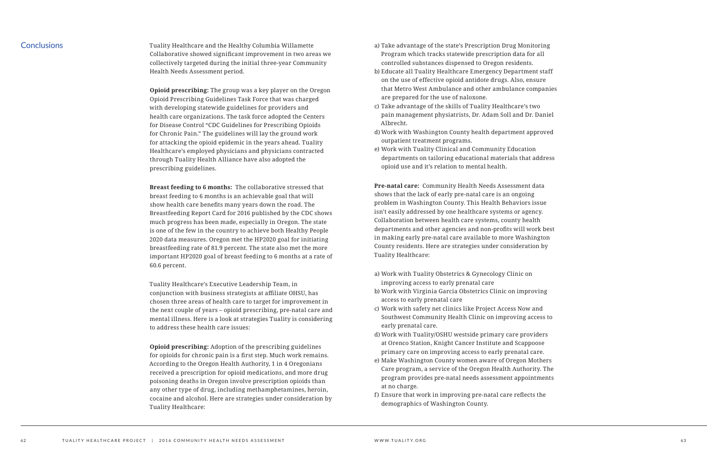### **Conclusions**

Tuality Healthcare and the Healthy Columbia Willamette Collaborative showed significant improvement in two areas we collectively targeted during the initial three-year Community Health Needs Assessment period.

**Opioid prescribing:** The group was a key player on the Oregon Opioid Prescribing Guidelines Task Force that was charged with developing statewide guidelines for providers and health care organizations. The task force adopted the Centers for Disease Control "CDC Guidelines for Prescribing Opioids for Chronic Pain." The guidelines will lay the ground work for attacking the opioid epidemic in the years ahead. Tuality Healthcare's employed physicians and physicians contracted through Tuality Health Alliance have also adopted the prescribing guidelines.

**Breast feeding to 6 months:** The collaborative stressed that breast feeding to 6 months is an achievable goal that will show health care benefits many years down the road. The Breastfeeding Report Card for 2016 published by the CDC shows much progress has been made, especially in Oregon. The state is one of the few in the country to achieve both Healthy People 2020 data measures. Oregon met the HP2020 goal for initiating breastfeeding rate of 81.9 percent. The state also met the more important HP2020 goal of breast feeding to 6 months at a rate of 60.6 percent.

Tuality Healthcare's Executive Leadership Team, in conjunction with business strategists at affiliate OHSU, has chosen three areas of health care to target for improvement in the next couple of years – opioid prescribing, pre-natal care and mental illness. Here is a look at strategies Tuality is considering to address these health care issues:

**Opioid prescribing:** Adoption of the prescribing guidelines for opioids for chronic pain is a first step. Much work remains. According to the Oregon Health Authority, 1 in 4 Oregonians received a prescription for opioid medications, and more drug poisoning deaths in Oregon involve prescription opioids than any other type of drug, including methamphetamines, heroin, cocaine and alcohol. Here are strategies under consideration by Tuality Healthcare:

- a) Take advantage of the state's Prescription Drug Monitoring Program which tracks statewide prescription data for all controlled substances dispensed to Oregon residents.
- b) Educate all Tuality Healthcare Emergency Department staff on the use of effective opioid antidote drugs. Also, ensure that Metro West Ambulance and other ambulance companies are prepared for the use of naloxone.
- c) Take advantage of the skills of Tuality Healthcare's two pain management physiatrists, Dr. Adam Soll and Dr. Daniel Albrecht.
- d) Work with Washington County health department approved outpatient treatment programs.
- e) Work with Tuality Clinical and Community Education departments on tailoring educational materials that address opioid use and it's relation to mental health.

**Pre-natal care:** Community Health Needs Assessment data shows that the lack of early pre-natal care is an ongoing problem in Washington County. This Health Behaviors issue isn't easily addressed by one healthcare systems or agency. Collaboration between health care systems, county health departments and other agencies and non-profits will work best in making early pre-natal care available to more Washington County residents. Here are strategies under consideration by Tuality Healthcare:

- a) Work with Tuality Obstetrics & Gynecology Clinic on improving access to early prenatal care
- b) Work with Virginia Garcia Obstetrics Clinic on improving access to early prenatal care
- c) Work with safety net clinics like Project Access Now and Southwest Community Health Clinic on improving access to early prenatal care.
- d) Work with Tuality/OSHU westside primary care providers at Orenco Station, Knight Cancer Institute and Scappoose primary care on improving access to early prenatal care.
- e) Make Washington County women aware of Oregon Mothers Care program, a service of the Oregon Health Authority. The program provides pre-natal needs assessment appointments at no charge.
- f) Ensure that work in improving pre-natal care reflects the demographics of Washington County.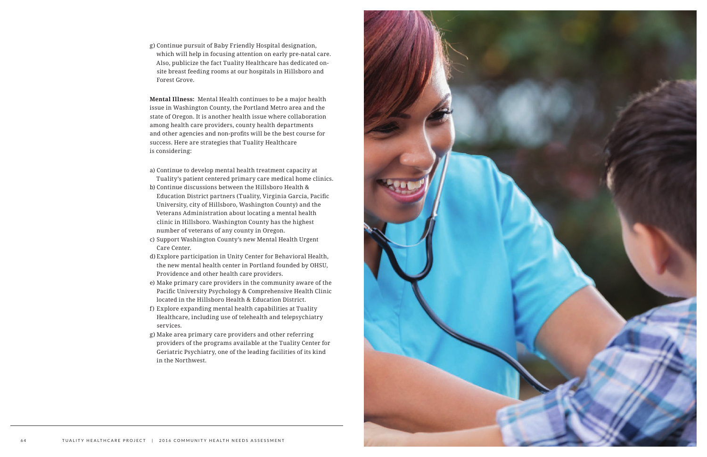g) Continue pursuit of Baby Friendly Hospital designation, which will help in focusing attention on early pre-natal care. Also, publicize the fact Tuality Healthcare has dedicated onsite breast feeding rooms at our hospitals in Hillsboro and Forest Grove.

**Mental Illness:** Mental Health continues to be a major health issue in Washington County, the Portland Metro area and the state of Oregon. It is another health issue where collaboration among health care providers, county health departments and other agencies and non-profits will be the best course for success. Here are strategies that Tuality Healthcare is considering:

- a) Continue to develop mental health treatment capacity at
- Tuality's patient centered primary care medical home clinics. b) Continue discussions between the Hillsboro Health & Education District partners (Tuality, Virginia Garcia, Pacific University, city of Hillsboro, Washington County) and the Veterans Administration about locating a mental health clinic in Hillsboro. Washington County has the highest number of veterans of any county in Oregon.
- c) Support Washington County's new Mental Health Urgent Care Center.
- d) Explore participation in Unity Center for Behavioral Health, the new mental health center in Portland founded by OHSU, Providence and other health care providers.
- e) Make primary care providers in the community aware of the Pacific University Psychology & Comprehensive Health Clinic located in the Hillsboro Health & Education District.
- f) Explore expanding mental health capabilities at Tuality Healthcare, including use of telehealth and telepsychiatry services.
- g) Make area primary care providers and other referring providers of the programs available at the Tuality Center for Geriatric Psychiatry, one of the leading facilities of its kind in the Northwest.